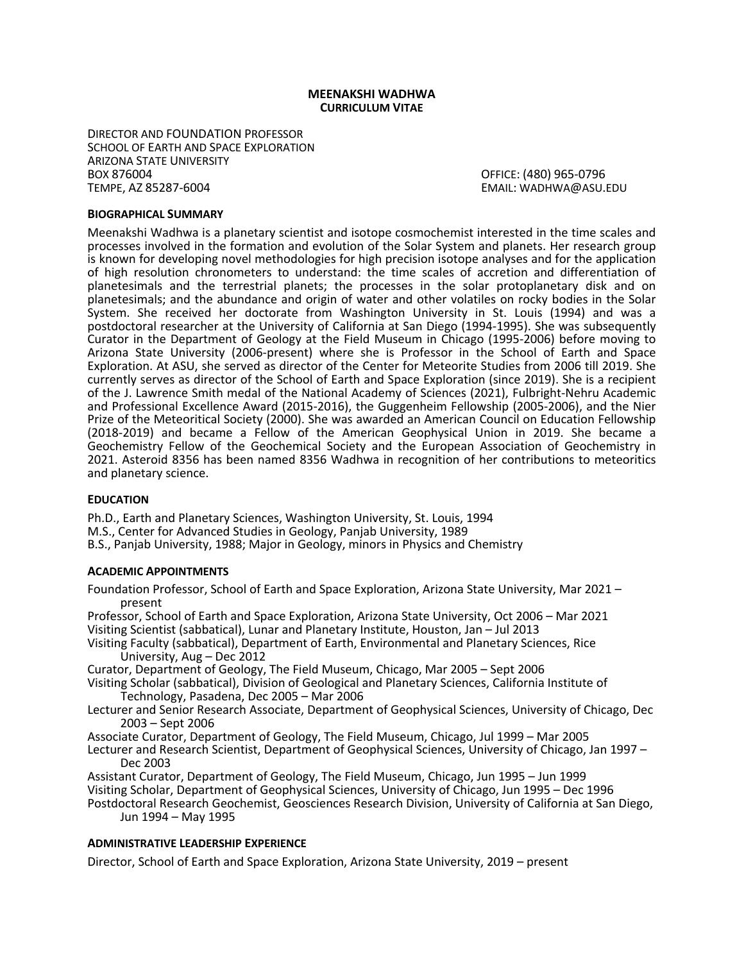### **MEENAKSHI WADHWA CURRICULUM VITAE**

DIRECTOR AND FOUNDATION PROFESSOR SCHOOL OF EARTH AND SPACE EXPLORATION ARIZONA STATE UNIVERSITY BOX 876004 OFFICE: (480) 965-0796

EMAIL: WADHWA@ASU.EDU

### **BIOGRAPHICAL SUMMARY**

Meenakshi Wadhwa is a planetary scientist and isotope cosmochemist interested in the time scales and processes involved in the formation and evolution of the Solar System and planets. Her research group is known for developing novel methodologies for high precision isotope analyses and for the application of high resolution chronometers to understand: the time scales of accretion and differentiation of planetesimals and the terrestrial planets; the processes in the solar protoplanetary disk and on planetesimals; and the abundance and origin of water and other volatiles on rocky bodies in the Solar System. She received her doctorate from Washington University in St. Louis (1994) and was a postdoctoral researcher at the University of California at San Diego (1994-1995). She was subsequently Curator in the Department of Geology at the Field Museum in Chicago (1995-2006) before moving to Arizona State University (2006-present) where she is Professor in the School of Earth and Space Exploration. At ASU, she served as director of the Center for Meteorite Studies from 2006 till 2019. She currently serves as director of the School of Earth and Space Exploration (since 2019). She is a recipient of the J. Lawrence Smith medal of the National Academy of Sciences (2021), Fulbright-Nehru Academic and Professional Excellence Award (2015-2016), the Guggenheim Fellowship (2005-2006), and the Nier Prize of the Meteoritical Society (2000). She was awarded an American Council on Education Fellowship (2018-2019) and became a Fellow of the American Geophysical Union in 2019. She became a Geochemistry Fellow of the Geochemical Society and the European Association of Geochemistry in 2021. Asteroid 8356 has been named 8356 Wadhwa in recognition of her contributions to meteoritics and planetary science.

### **EDUCATION**

Ph.D., Earth and Planetary Sciences, Washington University, St. Louis, 1994 M.S., Center for Advanced Studies in Geology, Panjab University, 1989 B.S., Panjab University, 1988; Major in Geology, minors in Physics and Chemistry

#### **ACADEMIC APPOINTMENTS**

Foundation Professor, School of Earth and Space Exploration, Arizona State University, Mar 2021 – present

Professor, School of Earth and Space Exploration, Arizona State University, Oct 2006 – Mar 2021 Visiting Scientist (sabbatical), Lunar and Planetary Institute, Houston, Jan – Jul 2013

Visiting Faculty (sabbatical), Department of Earth, Environmental and Planetary Sciences, Rice University, Aug – Dec 2012

Curator, Department of Geology, The Field Museum, Chicago, Mar 2005 – Sept 2006

- Visiting Scholar (sabbatical), Division of Geological and Planetary Sciences, California Institute of Technology, Pasadena, Dec 2005 – Mar 2006
- Lecturer and Senior Research Associate, Department of Geophysical Sciences, University of Chicago, Dec 2003 – Sept 2006

Associate Curator, Department of Geology, The Field Museum, Chicago, Jul 1999 – Mar 2005

Lecturer and Research Scientist, Department of Geophysical Sciences, University of Chicago, Jan 1997 – Dec 2003

Assistant Curator, Department of Geology, The Field Museum, Chicago, Jun 1995 – Jun 1999 Visiting Scholar, Department of Geophysical Sciences, University of Chicago, Jun 1995 – Dec 1996

Postdoctoral Research Geochemist, Geosciences Research Division, University of California at San Diego, Jun 1994 – May 1995

## **ADMINISTRATIVE LEADERSHIP EXPERIENCE**

Director, School of Earth and Space Exploration, Arizona State University, 2019 – present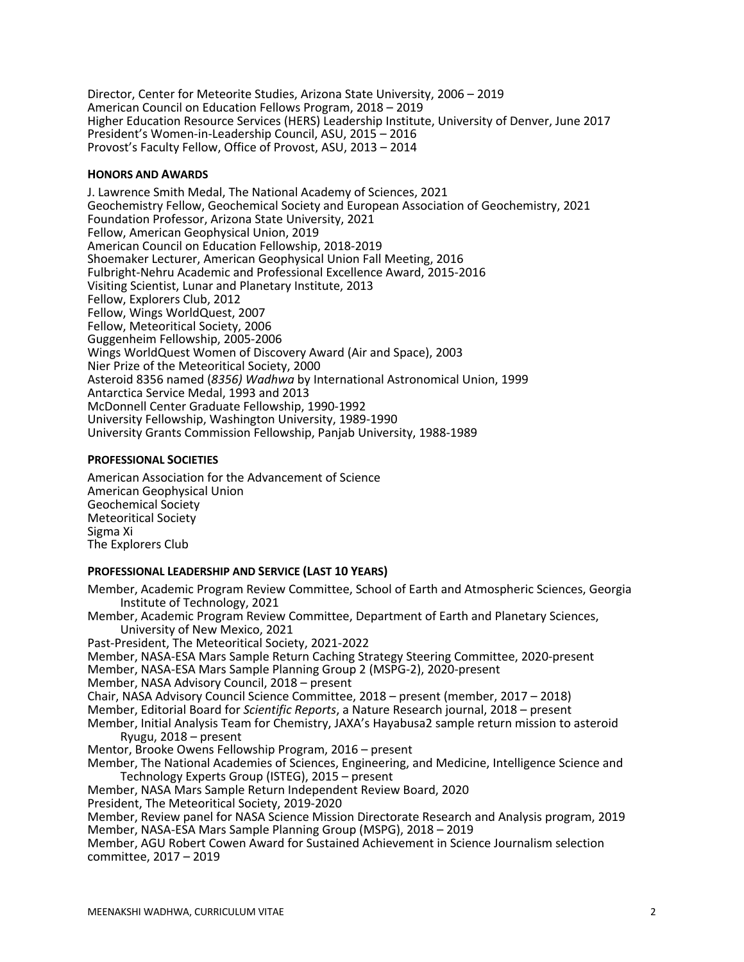Director, Center for Meteorite Studies, Arizona State University, 2006 – 2019 American Council on Education Fellows Program, 2018 – 2019 Higher Education Resource Services (HERS) Leadership Institute, University of Denver, June 2017 President's Women-in-Leadership Council, ASU, 2015 – 2016 Provost's Faculty Fellow, Office of Provost, ASU, 2013 – 2014

## **HONORS AND AWARDS**

J. Lawrence Smith Medal, The National Academy of Sciences, 2021 Geochemistry Fellow, Geochemical Society and European Association of Geochemistry, 2021 Foundation Professor, Arizona State University, 2021 Fellow, American Geophysical Union, 2019 American Council on Education Fellowship, 2018-2019 Shoemaker Lecturer, American Geophysical Union Fall Meeting, 2016 Fulbright-Nehru Academic and Professional Excellence Award, 2015-2016 Visiting Scientist, Lunar and Planetary Institute, 2013 Fellow, Explorers Club, 2012 Fellow, Wings WorldQuest, 2007 Fellow, Meteoritical Society, 2006 Guggenheim Fellowship, 2005-2006 Wings WorldQuest Women of Discovery Award (Air and Space), 2003 Nier Prize of the Meteoritical Society, 2000 Asteroid 8356 named (*8356) Wadhwa* by International Astronomical Union, 1999 Antarctica Service Medal, 1993 and 2013 McDonnell Center Graduate Fellowship, 1990-1992 University Fellowship, Washington University, 1989-1990 University Grants Commission Fellowship, Panjab University, 1988-1989

## **PROFESSIONAL SOCIETIES**

American Association for the Advancement of Science American Geophysical Union Geochemical Society Meteoritical Society Sigma Xi The Explorers Club

## **PROFESSIONAL LEADERSHIP AND SERVICE (LAST 10 YEARS)**

Member, Academic Program Review Committee, School of Earth and Atmospheric Sciences, Georgia Institute of Technology, 2021 Member, Academic Program Review Committee, Department of Earth and Planetary Sciences, University of New Mexico, 2021 Past-President, The Meteoritical Society, 2021-2022 Member, NASA-ESA Mars Sample Return Caching Strategy Steering Committee, 2020-present Member, NASA-ESA Mars Sample Planning Group 2 (MSPG-2), 2020-present Member, NASA Advisory Council, 2018 – present Chair, NASA Advisory Council Science Committee, 2018 – present (member, 2017 – 2018) Member, Editorial Board for *Scientific Reports*, a Nature Research journal, 2018 – present Member, Initial Analysis Team for Chemistry, JAXA's Hayabusa2 sample return mission to asteroid Ryugu, 2018 – present Mentor, Brooke Owens Fellowship Program, 2016 – present Member, The National Academies of Sciences, Engineering, and Medicine, Intelligence Science and Technology Experts Group (ISTEG), 2015 – present Member, NASA Mars Sample Return Independent Review Board, 2020 President, The Meteoritical Society, 2019-2020 Member, Review panel for NASA Science Mission Directorate Research and Analysis program, 2019 Member, NASA-ESA Mars Sample Planning Group (MSPG), 2018 – 2019 Member, AGU Robert Cowen Award for Sustained Achievement in Science Journalism selection committee, 2017 – 2019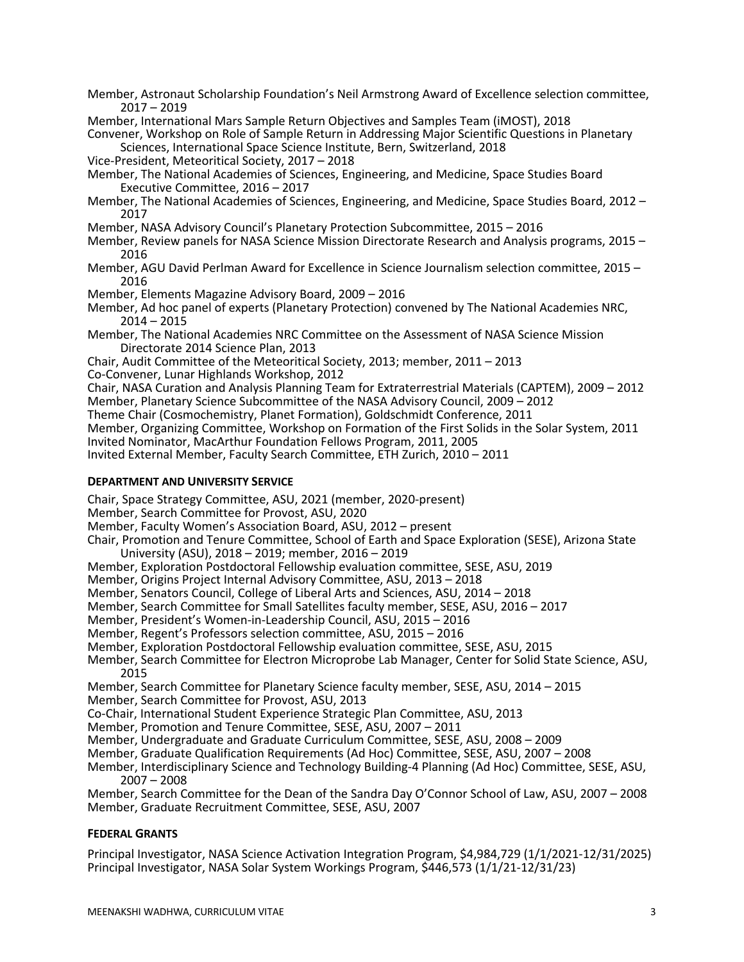Member, Astronaut Scholarship Foundation's Neil Armstrong Award of Excellence selection committee, 2017 – <sup>2019</sup>

Member, International Mars Sample Return Objectives and Samples Team (iMOST), 2018

Convener, Workshop on Role of Sample Return in Addressing Major Scientific Questions in Planetary Sciences, International Space Science Institute, Bern, Switzerland, 2018

Vice-President, Meteoritical Society, 2017 – 2018

Member, The National Academies of Sciences, Engineering, and Medicine, Space Studies Board Executive Committee, 2016 – 2017

Member, The National Academies of Sciences, Engineering, and Medicine, Space Studies Board, <sup>2012</sup> – <sup>2017</sup>

Member, NASA Advisory Council's Planetary Protection Subcommittee, 2015 – 2016

Member, Review panels for NASA Science Mission Directorate Research and Analysis programs, 2015 – <sup>2016</sup>

Member, AGU David Perlman Award for Excellence in Science Journalism selection committee, 2015 – 2016

Member, Elements Magazine Advisory Board, 2009 – 2016

Member, Ad hoc panel of experts (Planetary Protection) convened by The National Academies NRC,  $2014 - 2015$ 

Member, The National Academies NRC Committee on the Assessment of NASA Science Mission Directorate 2014 Science Plan, 2013

Chair, Audit Committee of the Meteoritical Society, 2013; member, 2011 – 2013

Co-Convener, Lunar Highlands Workshop, 2012

Chair, NASA Curation and Analysis Planning Team for Extraterrestrial Materials (CAPTEM), 2009 – 2012 Member, Planetary Science Subcommittee of the NASA Advisory Council, 2009 – 2012

Theme Chair (Cosmochemistry, Planet Formation), Goldschmidt Conference, 2011

Member, Organizing Committee, Workshop on Formation of the First Solids in the Solar System, 2011 Invited Nominator, MacArthur Foundation Fellows Program, 2011, 2005

Invited External Member, Faculty Search Committee, ETH Zurich, 2010 – 2011

## **DEPARTMENT AND UNIVERSITY SERVICE**

Chair, Space Strategy Committee, ASU, 2021 (member, 2020-present)

Member, Search Committee for Provost, ASU, 2020

Member, Faculty Women's Association Board, ASU, 2012 – present

Chair, Promotion and Tenure Committee, School of Earth and Space Exploration (SESE), Arizona State University (ASU), 2018 – 2019; member, 2016 – 2019

Member, Exploration Postdoctoral Fellowship evaluation committee, SESE, ASU, 2019

Member, Origins Project Internal Advisory Committee, ASU, 2013 – 2018

Member, Senators Council, College of Liberal Arts and Sciences, ASU, 2014 – 2018

Member, Search Committee for Small Satellites faculty member, SESE, ASU, 2016 – 2017

Member, President's Women-in-Leadership Council, ASU, 2015 – 2016

Member, Regent's Professors selection committee, ASU, 2015 – 2016

Member, Exploration Postdoctoral Fellowship evaluation committee, SESE, ASU, 2015

Member, Search Committee for Electron Microprobe Lab Manager, Center for Solid State Science, ASU, 2015

Member, Search Committee for Planetary Science faculty member, SESE, ASU, 2014 – 2015

Member, Search Committee for Provost, ASU, 2013

Co-Chair, International Student Experience Strategic Plan Committee, ASU, 2013

Member, Promotion and Tenure Committee, SESE, ASU, 2007 – 2011

Member, Undergraduate and Graduate Curriculum Committee, SESE, ASU, 2008 – 2009

Member, Graduate Qualification Requirements (Ad Hoc) Committee, SESE, ASU, 2007 – 2008

Member, Interdisciplinary Science and Technology Building-4 Planning (Ad Hoc) Committee, SESE, ASU, 2007 – 2008

Member, Search Committee for the Dean of the Sandra Day O'Connor School of Law, ASU, 2007 – 2008 Member, Graduate Recruitment Committee, SESE, ASU, 2007

# **FEDERAL GRANTS**

Principal Investigator, NASA Science Activation Integration Program, \$4,984,729 (1/1/2021-12/31/2025) Principal Investigator, NASA Solar System Workings Program, \$446,573 (1/1/21-12/31/23)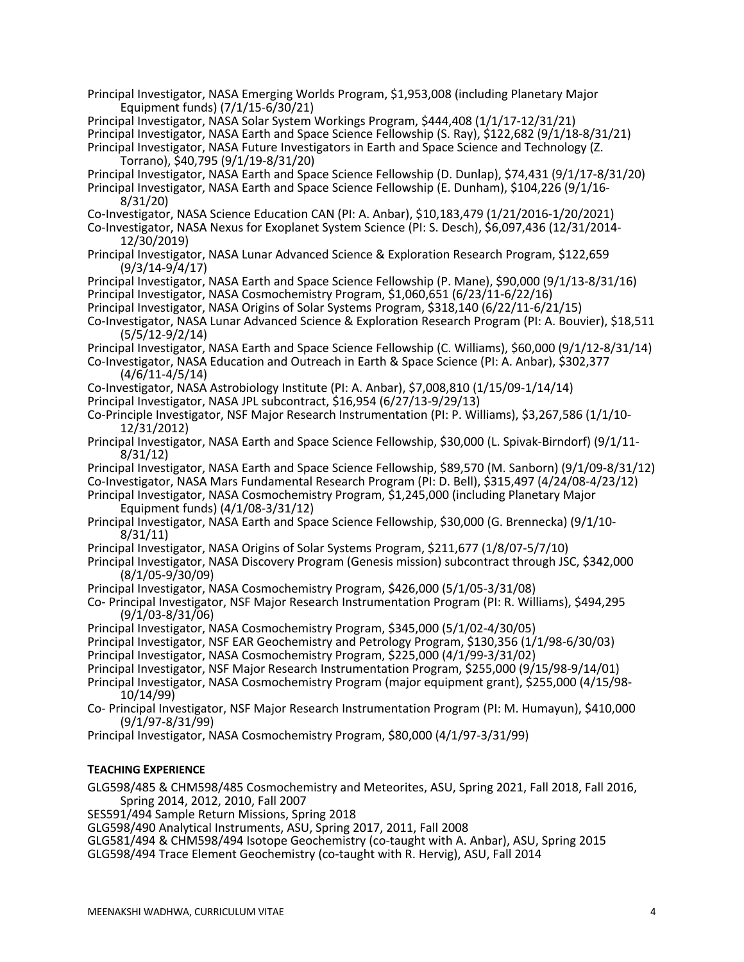- Principal Investigator, NASA Emerging Worlds Program, \$1,953,008 (including Planetary Major Equipment funds) (7/1/15-6/30/21)
- Principal Investigator, NASA Solar System Workings Program, \$444,408 (1/1/17-12/31/21) Principal Investigator, NASA Earth and Space Science Fellowship (S. Ray), \$122,682 (9/1/18-8/31/21) Principal Investigator, NASA Future Investigators in Earth and Space Science and Technology (Z. Torrano), \$40,795 (9/1/19-8/31/20)
- Principal Investigator, NASA Earth and Space Science Fellowship (D. Dunlap), \$74,431 (9/1/17-8/31/20) Principal Investigator, NASA Earth and Space Science Fellowship (E. Dunham), \$104,226 (9/1/16- 8/31/20)
- Co-Investigator, NASA Science Education CAN (PI: A. Anbar), \$10,183,479 (1/21/2016-1/20/2021)
- Co-Investigator, NASA Nexus for Exoplanet System Science (PI: S. Desch), \$6,097,436 (12/31/2014- 12/30/2019)
- Principal Investigator, NASA Lunar Advanced Science & Exploration Research Program, \$122,659 (9/3/14-9/4/17)
- Principal Investigator, NASA Earth and Space Science Fellowship (P. Mane), \$90,000 (9/1/13-8/31/16) Principal Investigator, NASA Cosmochemistry Program, \$1,060,651 (6/23/11-6/22/16)
- Principal Investigator, NASA Origins of Solar Systems Program, \$318,140 (6/22/11-6/21/15)
- Co-Investigator, NASA Lunar Advanced Science & Exploration Research Program (PI: A. Bouvier), \$18,511 (5/5/12-9/2/14)
- Principal Investigator, NASA Earth and Space Science Fellowship (C. Williams), \$60,000 (9/1/12-8/31/14)
- Co-Investigator, NASA Education and Outreach in Earth & Space Science (PI: A. Anbar), \$302,377 (4/6/11-4/5/14)
- Co-Investigator, NASA Astrobiology Institute (PI: A. Anbar), \$7,008,810 (1/15/09-1/14/14)
- Principal Investigator, NASA JPL subcontract, \$16,954 (6/27/13-9/29/13)
- Co-Principle Investigator, NSF Major Research Instrumentation (PI: P. Williams), \$3,267,586 (1/1/10- 12/31/2012)
- Principal Investigator, NASA Earth and Space Science Fellowship, \$30,000 (L. Spivak-Birndorf) (9/1/11- 8/31/12)
- Principal Investigator, NASA Earth and Space Science Fellowship, \$89,570 (M. Sanborn) (9/1/09-8/31/12) Co-Investigator, NASA Mars Fundamental Research Program (PI: D. Bell), \$315,497 (4/24/08-4/23/12)
- Principal Investigator, NASA Cosmochemistry Program, \$1,245,000 (including Planetary Major Equipment funds) (4/1/08-3/31/12)
- Principal Investigator, NASA Earth and Space Science Fellowship, \$30,000 (G. Brennecka) (9/1/10- 8/31/11)
- Principal Investigator, NASA Origins of Solar Systems Program, \$211,677 (1/8/07-5/7/10)
- Principal Investigator, NASA Discovery Program (Genesis mission) subcontract through JSC, \$342,000 (8/1/05-9/30/09)
- Principal Investigator, NASA Cosmochemistry Program, \$426,000 (5/1/05-3/31/08)
- Co- Principal Investigator, NSF Major Research Instrumentation Program (PI: R. Williams), \$494,295 (9/1/03-8/31/06)
- Principal Investigator, NASA Cosmochemistry Program, \$345,000 (5/1/02-4/30/05)
- Principal Investigator, NSF EAR Geochemistry and Petrology Program, \$130,356 (1/1/98-6/30/03)
- Principal Investigator, NASA Cosmochemistry Program, \$225,000 (4/1/99-3/31/02)
- Principal Investigator, NSF Major Research Instrumentation Program, \$255,000 (9/15/98-9/14/01)
- Principal Investigator, NASA Cosmochemistry Program (major equipment grant), \$255,000 (4/15/98- 10/14/99)
- Co- Principal Investigator, NSF Major Research Instrumentation Program (PI: M. Humayun), \$410,000 (9/1/97-8/31/99)
- Principal Investigator, NASA Cosmochemistry Program, \$80,000 (4/1/97-3/31/99)

# **TEACHING EXPERIENCE**

GLG598/485 & CHM598/485 Cosmochemistry and Meteorites, ASU, Spring 2021, Fall 2018, Fall 2016, Spring 2014, 2012, 2010, Fall 2007

SES591/494 Sample Return Missions, Spring 2018

GLG598/490 Analytical Instruments, ASU, Spring 2017, 2011, Fall 2008

GLG581/494 & CHM598/494 Isotope Geochemistry (co-taught with A. Anbar), ASU, Spring 2015 GLG598/494 Trace Element Geochemistry (co-taught with R. Hervig), ASU, Fall 2014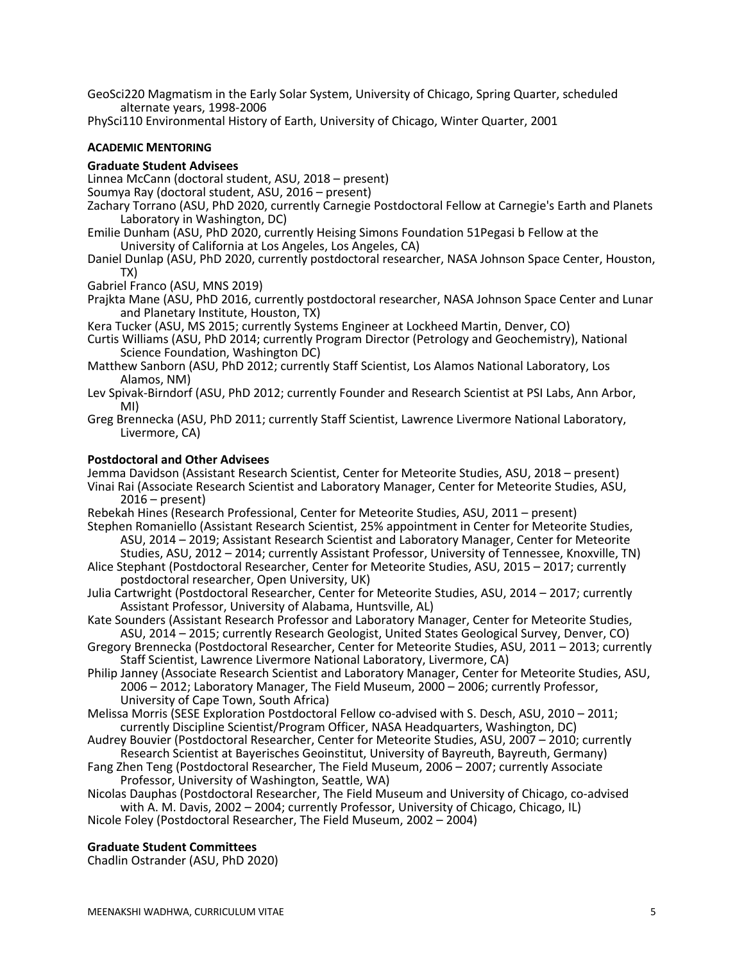GeoSci220 Magmatism in the Early Solar System, University of Chicago, Spring Quarter, scheduled alternate years, 1998-2006

PhySci110 Environmental History of Earth, University of Chicago, Winter Quarter, 2001

## **ACADEMIC MENTORING**

### **Graduate Student Advisees**

- Linnea McCann (doctoral student, ASU, 2018 present)
- Soumya Ray (doctoral student, ASU, 2016 present)
- Zachary Torrano (ASU, PhD 2020, currently Carnegie Postdoctoral Fellow at Carnegie's Earth and Planets Laboratory in Washington, DC)
- Emilie Dunham (ASU, PhD 2020, currently Heising Simons Foundation 51Pegasi b Fellow at the University of California at Los Angeles, Los Angeles, CA)
- Daniel Dunlap (ASU, PhD 2020, currently postdoctoral researcher, NASA Johnson Space Center, Houston, TX)
- Gabriel Franco (ASU, MNS 2019)
- Prajkta Mane (ASU, PhD 2016, currently postdoctoral researcher, NASA Johnson Space Center and Lunar and Planetary Institute, Houston, TX)
- Kera Tucker (ASU, MS 2015; currently Systems Engineer at Lockheed Martin, Denver, CO)
- Curtis Williams (ASU, PhD 2014; currently Program Director (Petrology and Geochemistry), National Science Foundation, Washington DC)
- Matthew Sanborn (ASU, PhD 2012; currently Staff Scientist, Los Alamos National Laboratory, Los Alamos, NM)
- Lev Spivak-Birndorf (ASU, PhD 2012; currently Founder and Research Scientist at PSI Labs, Ann Arbor, MI)
- Greg Brennecka (ASU, PhD 2011; currently Staff Scientist, Lawrence Livermore National Laboratory, Livermore, CA)

#### **Postdoctoral and Other Advisees**

Jemma Davidson (Assistant Research Scientist, Center for Meteorite Studies, ASU, 2018 – present) Vinai Rai (Associate Research Scientist and Laboratory Manager, Center for Meteorite Studies, ASU, 2016 – present)

- Rebekah Hines (Research Professional, Center for Meteorite Studies, ASU, 2011 present)
- Stephen Romaniello (Assistant Research Scientist, 25% appointment in Center for Meteorite Studies,<br>ASU, 2014 2019; Assistant Research Scientist and Laboratory Manager, Center for Meteorite Studies, ASU, 2012 – 2014; currently Assistant Professor, University of Tennessee, Knoxville, TN)
- Alice Stephant (Postdoctoral Researcher, Center for Meteorite Studies, ASU, 2015 2017; currently postdoctoral researcher, Open University, UK)
- Julia Cartwright (Postdoctoral Researcher, Center for Meteorite Studies, ASU, 2014 2017; currently Assistant Professor, University of Alabama, Huntsville, AL)
- Kate Sounders (Assistant Research Professor and Laboratory Manager, Center for Meteorite Studies, ASU, 2014 – 2015; currently Research Geologist, United States Geological Survey, Denver, CO)
- Gregory Brennecka (Postdoctoral Researcher, Center for Meteorite Studies, ASU, 2011 2013; currently Staff Scientist, Lawrence Livermore National Laboratory, Livermore, CA)
- Philip Janney (Associate Research Scientist and Laboratory Manager, Center for Meteorite Studies, ASU, 2006 – 2012; Laboratory Manager, The Field Museum, 2000 – 2006; currently Professor, University of Cape Town, South Africa)
- Melissa Morris (SESE Exploration Postdoctoral Fellow co-advised with S. Desch, ASU, 2010 2011; currently Discipline Scientist/Program Officer, NASA Headquarters, Washington, DC)
- Audrey Bouvier (Postdoctoral Researcher, Center for Meteorite Studies, ASU, 2007 2010; currently Research Scientist at Bayerisches Geoinstitut, University of Bayreuth, Bayreuth, Germany)
- Fang Zhen Teng (Postdoctoral Researcher, The Field Museum, 2006 2007; currently Associate Professor, University of Washington, Seattle, WA)
- Nicolas Dauphas (Postdoctoral Researcher, The Field Museum and University of Chicago, co-advised with A. M. Davis, 2002 – 2004; currently Professor, University of Chicago, Chicago, IL)
- Nicole Foley (Postdoctoral Researcher, The Field Museum, 2002 2004)

## **Graduate Student Committees**

Chadlin Ostrander (ASU, PhD 2020)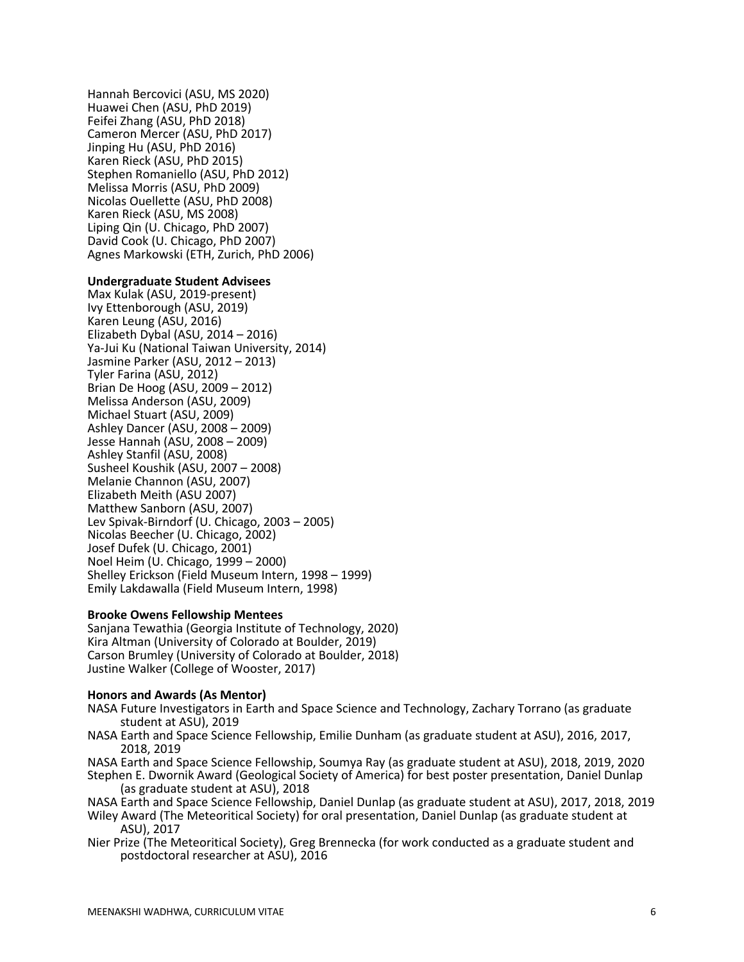Hannah Bercovici (ASU, MS 2020) Huawei Chen (ASU, PhD 2019) Feifei Zhang (ASU, PhD 2018) Cameron Mercer (ASU, PhD 2017) Jinping Hu (ASU, PhD 2016) Karen Rieck (ASU, PhD 2015) Stephen Romaniello (ASU, PhD 2012) Melissa Morris (ASU, PhD 2009) Nicolas Ouellette (ASU, PhD 2008) Karen Rieck (ASU, MS 2008) Liping Qin (U. Chicago, PhD 2007) David Cook (U. Chicago, PhD 2007) Agnes Markowski (ETH, Zurich, PhD 2006)

### **Undergraduate Student Advisees**

Max Kulak (ASU, 2019-present) Ivy Ettenborough (ASU, 2019) Karen Leung (ASU, 2016) Elizabeth Dybal (ASU, 2014 – 2016) Ya-Jui Ku (National Taiwan University, 2014) Jasmine Parker (ASU, 2012 – 2013) Tyler Farina (ASU, 2012) Brian De Hoog (ASU, 2009 – 2012) Melissa Anderson (ASU, 2009) Michael Stuart (ASU, 2009) Ashley Dancer (ASU, 2008 – 2009) Jesse Hannah (ASU, 2008 – 2009) Ashley Stanfil (ASU, 2008) Susheel Koushik (ASU, 2007 – 2008) Melanie Channon (ASU, 2007) Elizabeth Meith (ASU 2007) Matthew Sanborn (ASU, 2007) Lev Spivak-Birndorf (U. Chicago, 2003 – 2005) Nicolas Beecher (U. Chicago, 2002) Josef Dufek (U. Chicago, 2001) Noel Heim (U. Chicago, 1999 – 2000) Shelley Erickson (Field Museum Intern, 1998 – 1999) Emily Lakdawalla (Field Museum Intern, 1998)

### **Brooke Owens Fellowship Mentees**

Sanjana Tewathia (Georgia Institute of Technology, 2020) Kira Altman (University of Colorado at Boulder, 2019) Carson Brumley (University of Colorado at Boulder, 2018) Justine Walker (College of Wooster, 2017)

#### **Honors and Awards (As Mentor)**

NASA Future Investigators in Earth and Space Science and Technology, Zachary Torrano (as graduate student at ASU), 2019

- NASA Earth and Space Science Fellowship, Emilie Dunham (as graduate student at ASU), 2016, 2017, 2018, 2019
- NASA Earth and Space Science Fellowship, Soumya Ray (as graduate student at ASU), 2018, 2019, 2020 Stephen E. Dwornik Award (Geological Society of America) for best poster presentation, Daniel Dunlap (as graduate student at ASU), 2018

NASA Earth and Space Science Fellowship, Daniel Dunlap (as graduate student at ASU), 2017, 2018, 2019 Wiley Award (The Meteoritical Society) for oral presentation, Daniel Dunlap (as graduate student at ASU), 2017

Nier Prize (The Meteoritical Society), Greg Brennecka (for work conducted as a graduate student and postdoctoral researcher at ASU), 2016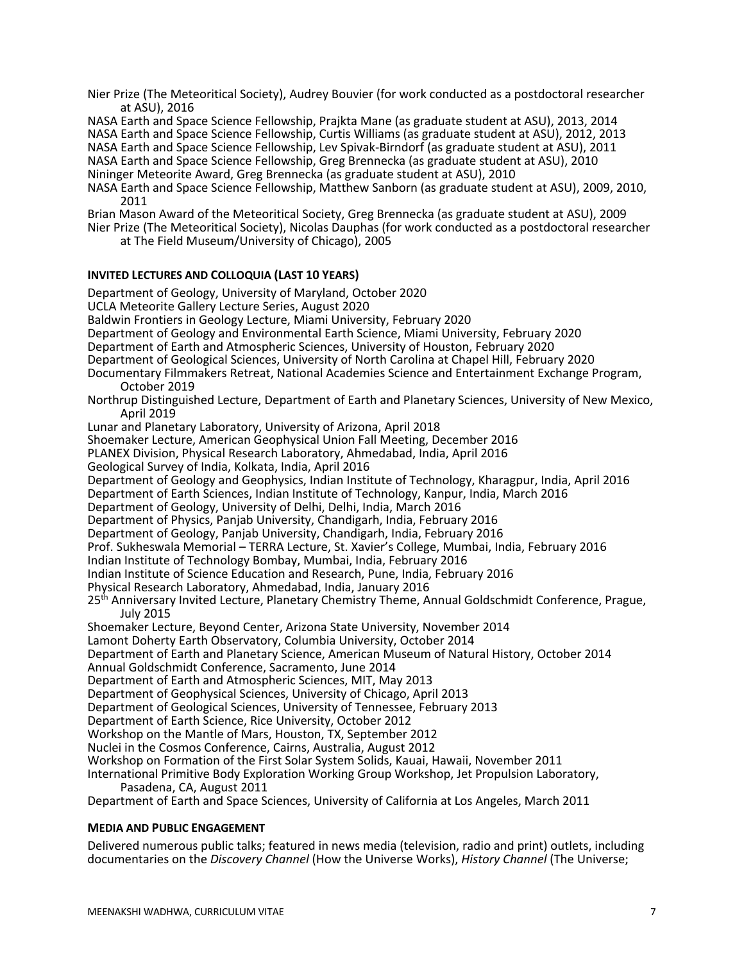Nier Prize (The Meteoritical Society), Audrey Bouvier (for work conducted as a postdoctoral researcher at ASU), 2016

NASA Earth and Space Science Fellowship, Prajkta Mane (as graduate student at ASU), 2013, 2014 NASA Earth and Space Science Fellowship, Curtis Williams (as graduate student at ASU), 2012, 2013 NASA Earth and Space Science Fellowship, Lev Spivak-Birndorf (as graduate student at ASU), 2011

NASA Earth and Space Science Fellowship, Greg Brennecka (as graduate student at ASU), 2010

Nininger Meteorite Award, Greg Brennecka (as graduate student at ASU), 2010

NASA Earth and Space Science Fellowship, Matthew Sanborn (as graduate student at ASU), 2009, 2010, 2011

Brian Mason Award of the Meteoritical Society, Greg Brennecka (as graduate student at ASU), 2009

Nier Prize (The Meteoritical Society), Nicolas Dauphas (for work conducted as a postdoctoral researcher at The Field Museum/University of Chicago), 2005

## **INVITED LECTURES AND COLLOQUIA (LAST 10 YEARS)**

Department of Geology, University of Maryland, October 2020 UCLA Meteorite Gallery Lecture Series, August 2020 Baldwin Frontiers in Geology Lecture, Miami University, February 2020 Department of Geology and Environmental Earth Science, Miami University, February 2020 Department of Earth and Atmospheric Sciences, University of Houston, February 2020 Department of Geological Sciences, University of North Carolina at Chapel Hill, February 2020 Documentary Filmmakers Retreat, National Academies Science and Entertainment Exchange Program, October 2019 Northrup Distinguished Lecture, Department of Earth and Planetary Sciences, University of New Mexico, April 2019 Lunar and Planetary Laboratory, University of Arizona, April 2018 Shoemaker Lecture, American Geophysical Union Fall Meeting, December 2016 PLANEX Division, Physical Research Laboratory, Ahmedabad, India, April 2016 Geological Survey of India, Kolkata, India, April 2016 Department of Geology and Geophysics, Indian Institute of Technology, Kharagpur, India, April 2016 Department of Earth Sciences, Indian Institute of Technology, Kanpur, India, March 2016 Department of Geology, University of Delhi, Delhi, India, March 2016 Department of Physics, Panjab University, Chandigarh, India, February 2016 Department of Geology, Panjab University, Chandigarh, India, February 2016 Prof. Sukheswala Memorial – TERRA Lecture, St. Xavier's College, Mumbai, India, February 2016 Indian Institute of Technology Bombay, Mumbai, India, February 2016 Indian Institute of Science Education and Research, Pune, India, February 2016 Physical Research Laboratory, Ahmedabad, India, January 2016 25<sup>th</sup> Anniversary Invited Lecture, Planetary Chemistry Theme, Annual Goldschmidt Conference, Prague, July 2015 Shoemaker Lecture, Beyond Center, Arizona State University, November 2014 Lamont Doherty Earth Observatory, Columbia University, October 2014 Department of Earth and Planetary Science, American Museum of Natural History, October 2014 Annual Goldschmidt Conference, Sacramento, June 2014 Department of Earth and Atmospheric Sciences, MIT, May 2013 Department of Geophysical Sciences, University of Chicago, April 2013 Department of Geological Sciences, University of Tennessee, February 2013 Department of Earth Science, Rice University, October 2012 Workshop on the Mantle of Mars, Houston, TX, September 2012 Nuclei in the Cosmos Conference, Cairns, Australia, August 2012 Workshop on Formation of the First Solar System Solids, Kauai, Hawaii, November 2011 International Primitive Body Exploration Working Group Workshop, Jet Propulsion Laboratory, Pasadena, CA, August 2011 Department of Earth and Space Sciences, University of California at Los Angeles, March 2011

## **MEDIA AND PUBLIC ENGAGEMENT**

Delivered numerous public talks; featured in news media (television, radio and print) outlets, including documentaries on the *Discovery Channel* (How the Universe Works), *History Channel* (The Universe;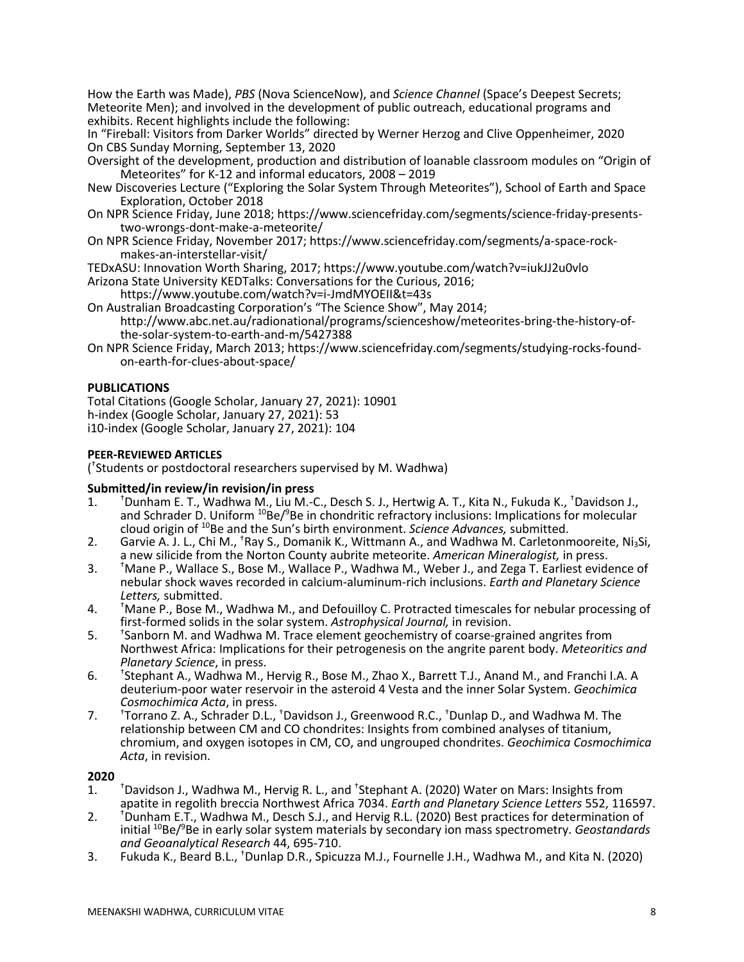How the Earth was Made), *PBS* (Nova ScienceNow), and *Science Channel* (Space's Deepest Secrets; Meteorite Men); and involved in the development of public outreach, educational programs and exhibits. Recent highlights include the following:

In "Fireball: Visitors from Darker Worlds" directed by Werner Herzog and Clive Oppenheimer, 2020 On CBS Sunday Morning, September 13, 2020

- Oversight of the development, production and distribution of loanable classroom modules on "Origin of Meteorites" for K-12 and informal educators, 2008 – 2019
- New Discoveries Lecture ("Exploring the Solar System Through Meteorites"), School of Earth and Space Exploration, October 2018
- On NPR Science Friday, June 2018; https://www.sciencefriday.com/segments/science-friday-presents- two-wrongs-dont-make-a-meteorite/
- On NPR Science Friday, November 2017; https://www.sciencefriday.com/segments/a-space-rock- makes-an-interstellar-visit/

TEDxASU: Innovation Worth Sharing, 2017; https://www.youtube.com/watch?v=iukJJ2u0vlo

- Arizona State University KEDTalks: Conversations for the Curious, 2016;
- https://www.youtube.com/watch?v=i-JmdMYOEII&t=43s
- On Australian Broadcasting Corporation's "The Science Show", May 2014; http://www.abc.net.au/radionational/programs/scienceshow/meteorites-bring-the-history-of- the-solar-system-to-earth-and-m/5427388
- On NPR Science Friday, March 2013; https://www.sciencefriday.com/segments/studying-rocks-foundon-earth-for-clues-about-space/

# **PUBLICATIONS**

Total Citations (Google Scholar, January 27, 2021): 10901 h-index (Google Scholar, January 27, 2021): 53 i10-index (Google Scholar, January 27, 2021): 104

# **PEER-REVIEWED ARTICLES**

( † Students or postdoctoral researchers supervised by M. Wadhwa)

# **Submitted/in review/in revision/in press**

- $\mathbf{1}$ . Dunham E. T., Wadhwa M., Liu M.-C., Desch S. J., Hertwig A. T., Kita N., Fukuda K., <sup>†</sup>Davidson J., and Schrader D. Uniform <sup>10</sup>Be/<sup>9</sup>Be in chondritic refractory inclusions: Implications for molecular cloud origin of 10Be and the Sun's birth environment. *Science Advances,* submitted. 2. Garvie A. J. L., Chi M., †
- Garvie A. J. L., Chi M.,  ${}^{\dagger}$ Ray S., Domanik K., Wittmann A., and Wadhwa M. Carletonmooreite, Ni<sub>3</sub>Si, a new silicide from the Norton County aubrite meteorite. *American Mineralogist,* in press.
- $3<sub>1</sub>$ Mane P., Wallace S., Bose M., Wallace P., Wadhwa M., Weber J., and Zega T. Earliest evidence of nebular shock waves recorded in calcium-aluminum-rich inclusions. *Earth and Planetary Science*
- *Letters,* submitted. 4. † Mane P., Bose M., Wadhwa M., and Defouilloy C. Protracted timescales for nebular processing of
- first-formed solids in the solar system. *Astrophysical Journal,* in revision. 5. † Sanborn M. and Wadhwa M. Trace element geochemistry of coarse-grained angrites from Northwest Africa: Implications for their petrogenesis on the angrite parent body. *Meteoritics and Planetary Science*, in press.
- 6. † <sup>†</sup>Stephant A., Wadhwa M., Hervig R., Bose M., Zhao X., Barrett T.J., Anand M., and Franchi I.A. A deuterium-poor water reservoir in the asteroid 4 Vesta and the inner Solar System. *Geochimica*
- *Cosmochimica Acta*, in press. 7. † Torrano Z. A., Schrader D.L., † Davidson J., Greenwood R.C., † Dunlap D., and Wadhwa M. The relationship between CM and CO chondrites: Insights from combined analyses of titanium, chromium, and oxygen isotopes in CM, CO, and ungrouped chondrites. *Geochimica Cosmochimica Acta*, in revision.

- <sup>t</sup>Davidson J., Wadhwa M., Hervig R. L., and <sup>†</sup>Stephant A. (2020) Water on Mars: Insights from<br>apatite in regolith breccia Northwest Africa 7034. *Earth and Planetary Science Letters* 552, 116597. Davidson J., Wadhwa M., Hervig R. L., and <sup>†</sup>Stephant A. (2020) Water on Mars: Insights from
- apatite in regolith breccia Northwest Africa 7034. *Earth and Planetary Science Letters* 552, 116597.<br>2. <sup>†</sup>Dunham E.T., Wadhwa M., Desch S.J., and Hervig R.L. (2020) Best practices for determination of initial 10Be/9 Be in early solar system materials by secondary ion mass spectrometry. *Geostandards and Geoanalytical Research* 44, 695-710.
- 3. Fukuda K., Beard B.L., <sup>†</sup>Dunlap D.R., Spicuzza M.J., Fournelle J.H., Wadhwa M., and Kita N. (2020)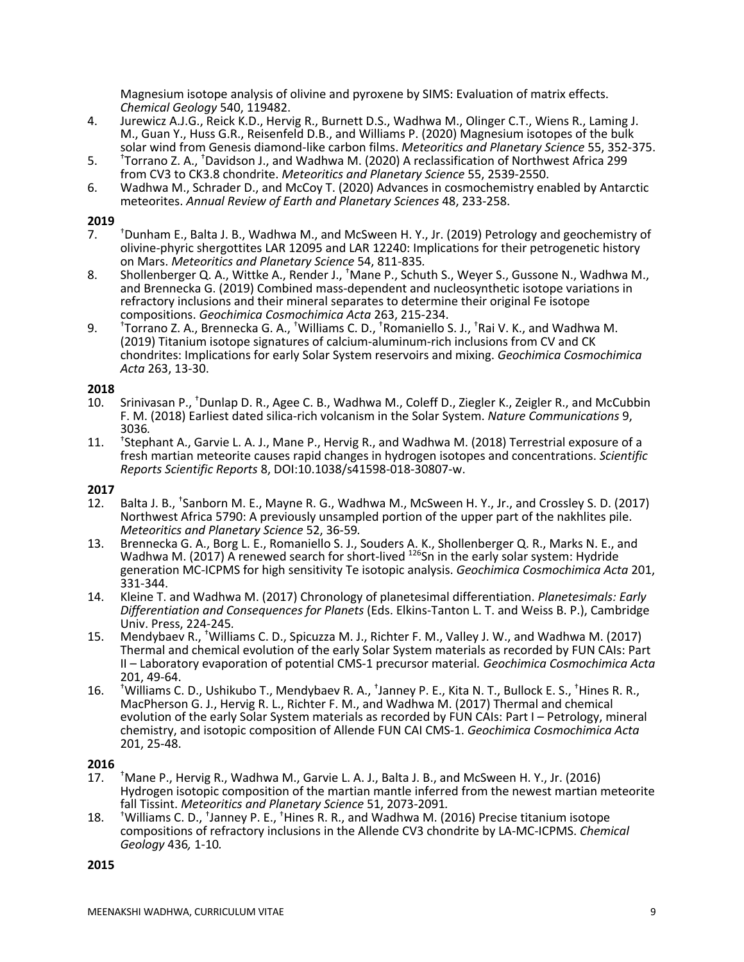Magnesium isotope analysis of olivine and pyroxene by SIMS: Evaluation of matrix effects. *Chemical Geology* 540, 119482.

- 4. Jurewicz A.J.G., Reick K.D., Hervig R., Burnett D.S., Wadhwa M., Olinger C.T., Wiens R., Laming J. M., Guan Y., Huss G.R., Reisenfeld D.B., and Williams P. (2020) Magnesium isotopes of the bulk solar wind from Genesis diamond-like carbon films. *Meteoritics and Planetary Science* 55, 352-375.
- 5. † Torrano Z. A., † Davidson J., and Wadhwa M. (2020) A reclassification of Northwest Africa 299 from CV3 to CK3.8 chondrite. *Meteoritics and Planetary Science* 55, 2539-2550.
- 6. Wadhwa M., Schrader D., and McCoy T. (2020) Advances in cosmochemistry enabled by Antarctic meteorites. *Annual Review of Earth and Planetary Sciences* 48, 233-258.

## **2019**

- $\overline{7}$ . <sup>+</sup>Dunham E., Balta J. B., Wadhwa M., and McSween H. Y., Jr. (2019) Petrology and geochemistry of olivine-phyric shergottites LAR 12095 and LAR 12240: Implications for their petrogenetic history on Mars. *Meteoritics and Planetary Science* 54, 811-835*.*
- 8. Shollenberger Q. A., Wittke A., Render J., <sup>†</sup>Mane P., Schuth S., Weyer S., Gussone N., Wadhwa M., and Brennecka G. (2019) Combined mass-dependent and nucleosynthetic isotope variations in refractory inclusions and their mineral separates to determine their original Fe isotope compositions. *Geochimica Cosmochimica Acta* 263, 215-234.
- $9<sub>l</sub>$ Torrano Z. A., Brennecka G. A., <sup>†</sup>Williams C. D., <sup>†</sup>Romaniello S. J., <sup>†</sup>Rai V. K., and Wadhwa M. (2019) Titanium isotope signatures of calcium-aluminum-rich inclusions from CV and CK chondrites: Implications for early Solar System reservoirs and mixing. *Geochimica Cosmochimica Acta* 263, 13-30.

## **2018**

- 10. Srinivasan P., <sup>†</sup>Dunlap D. R., Agee C. B., Wadhwa M., Coleff D., Ziegler K., Zeigler R., and McCubbin F. M. (2018) Earliest dated silica-rich volcanism in the Solar System. *Nature Communications* 9, 3036*.*
- $11.$ <sup>\*</sup>Stephant A., Garvie L. A. J., Mane P., Hervig R., and Wadhwa M. (2018) Terrestrial exposure of a fresh martian meteorite causes rapid changes in hydrogen isotopes and concentrations. *Scientific Reports Scientific Reports* 8, DOI:10.1038/s41598-018-30807-w.

# **2017**

- 12. Balta J. B., <sup>†</sup>Sanborn M. E., Mayne R. G., Wadhwa M., McSween H. Y., Jr., and Crossley S. D. (2017) Northwest Africa 5790: A previously unsampled portion of the upper part of the nakhlites pile.<br>Meteoritics and Planetary Science 52, 36-59.
- *Meteoritics and Planetary Science* 52, 36-59*.* 13. Brennecka G. A., Borg L. E., Romaniello S. J., Souders A. K., Shollenberger Q. R., Marks N. E., and Wadhwa M. (2017) A renewed search for short-lived <sup>126</sup>Sn in the early solar system: Hydride generation MC-ICPMS for high sensitivity Te isotopic analysis. *Geochimica Cosmochimica Acta* 201, 331-344.
- 14. Kleine T. and Wadhwa M. (2017) Chronology of planetesimal differentiation. *Planetesimals: Early Differentiation and Consequences for Planets* (Eds. Elkins-Tanton L. T. and Weiss B. P.), Cambridge
- Univ. Press, 224-245*.* 15. Mendybaev R., † Williams C. D., Spicuzza M. J., Richter F. M., Valley J. W., and Wadhwa M. (2017) Thermal and chemical evolution of the early Solar System materials as recorded by FUN CAIs: Part II – Laboratory evaporation of potential CMS-1 precursor material*. Geochimica Cosmochimica Acta*  201, 49-64.
- $16.$ Williams C. D., Ushikubo T., Mendybaev R. A., <sup>†</sup>Janney P. E., Kita N. T., Bullock E. S., <sup>†</sup>Hines R. R., MacPherson G. J., Hervig R. L., Richter F. M., and Wadhwa M. (2017) Thermal and chemical evolution of the early Solar System materials as recorded by FUN CAIs: Part I – Petrology, mineral chemistry, and isotopic composition of Allende FUN CAI CMS-1. *Geochimica Cosmochimica Acta*  201, 25-48.

## **2016**

- 17. † <sup>†</sup> Mane P., Hervig R., Wadhwa M., Garvie L. A. J., Balta J. B., and McSween H. Y., Jr. (2016) Hydrogen isotopic composition of the martian mantle inferred from the newest martian meteorite fall Tissint. *Meteoritics and Planetary Science* 51, 2073-2091*.*
- 18. † Williams C. D., <sup>†</sup>Janney P. E., <sup>†</sup>Hines R. R., and Wadhwa M. (2016) Precise titanium isotope compositions of refractory inclusions in the Allende CV3 chondrite by LA-MC-ICPMS. *Chemical Geology* 436*,* 1-10*.*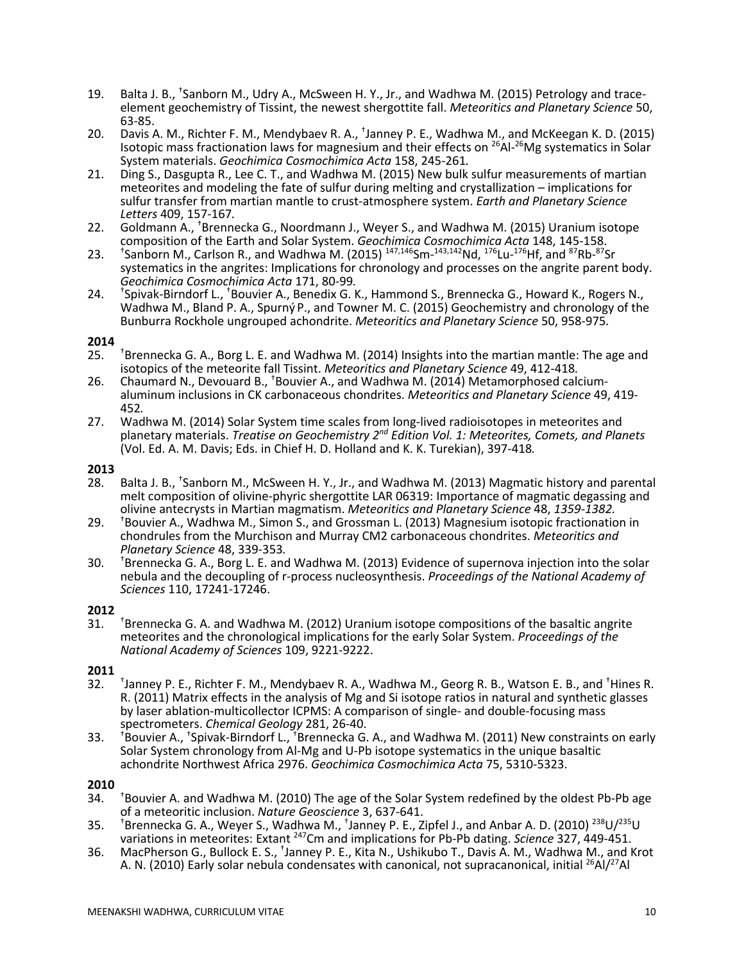- 19. Balta J. B., <sup>†</sup>Sanborn M., Udry A., McSween H. Y., Jr., and Wadhwa M. (2015) Petrology and traceelement geochemistry of Tissint, the newest shergottite fall. *Meteoritics and Planetary Science* 50, 63-85.
- 20. Davis A. M., Richter F. M., Mendybaev R. A., † Janney P. E., Wadhwa M., and McKeegan K. D. (2015) Isotopic mass fractionation laws for magnesium and their effects on <sup>26</sup>Al-<sup>26</sup>Mg systematics in Solar
- System materials. *Geochimica Cosmochimica Acta* 158, 245-261*.* 21. Ding S., Dasgupta R., Lee C. T., and Wadhwa M. (2015) New bulk sulfur measurements of martian meteorites and modeling the fate of sulfur during melting and crystallization – implications for sulfur transfer from martian mantle to crust-atmosphere system. *Earth and Planetary Science*
- *Letters* 409, 157-167*.* 22. Goldmann A., † Brennecka G., Noordmann J., Weyer S., and Wadhwa M. (2015) Uranium isotope composition of the Earth and Solar System. *Geochimica Cosmochimica Acta* 148, 145-158.
- $23.$ Sanborn M., Carlson R., and Wadhwa M. (2015)  $^{147,146}$ Sm- $^{143,142}$ Nd,  $^{176}$ Lu- $^{176}$ Hf, and  $^{87}$ Rb- $^{87}$ Sr systematics in the angrites: Implications for chronology and processes on the angrite parent body.<br>Geochimica Cosmochimica Acta 171, 80-99.
- *Geochimica Cosmochimica Acta* 171, 80-99*.* 24. † Spivak-Birndorf L., † Bouvier A., Benedix G. K., Hammond S., Brennecka G., Howard K., Rogers N., Wadhwa M., Bland P. A., Spurný P., and Towner M. C. (2015) Geochemistry and chronology of the Bunburra Rockhole ungrouped achondrite. *Meteoritics and Planetary Science* 50, 958-975*.*

## **2014**

- 25. Thennecka G. A., Borg L. E. and Wadhwa M. (2014) Insights into the martian mantle:<br>isotopics of the meteorite fall Tissint. Meteoritics and Planetary Science 49, 412-418. <sup>†</sup>Brennecka G. A., Borg L. E. and Wadhwa M. (2014) Insights into the martian mantle: The age and isotopics of the meteorite fall Tissint. *Meteoritics and Planetary Science* 49, 412-418*.* 26. Chaumard N., Devouard B., † Bouvier A., and Wadhwa M. (2014) Metamorphosed calcium-
- aluminum inclusions in CK carbonaceous chondrites. *Meteoritics and Planetary Science* 49, 419- <sup>452</sup>*.* 27. Wadhwa M. (2014) Solar System time scales from long-lived radioisotopes in meteorites and
- planetary materials. *Treatise on Geochemistry 2nd Edition Vol. 1: Meteorites, Comets, and Planets* (Vol. Ed. A. M. Davis; Eds. in Chief H. D. Holland and K. K. Turekian), 397-418*.*

# **2013**

- 28. Balta J. B., <sup>†</sup>Sanborn M., McSween H. Y., Jr., and Wadhwa M. (2013) Magmatic history and parental melt composition of olivine-phyric shergottite LAR 06319: Importance of magmatic degassing and olivine antecrysts in Martian magmatism. *Meteoritics and Planetary Science* 48, *1359-1382.*
- 29. † <sup>+</sup>Bouvier A., Wadhwa M., Simon S., and Grossman L. (2013) Magnesium isotopic fractionation in chondrules from the Murchison and Murray CM2 carbonaceous chondrites. *Meteoritics and Planetary Science* 48, 339-353*.*
- $30.$ <sup>†</sup>Brennecka G. A., Borg L. E. and Wadhwa M. (2013) Evidence of supernova injection into the solar nebula and the decoupling of r-process nucleosynthesis. *Proceedings of the National Academy of Sciences* 110, 17241-17246.

# **2012**

 $31.$ <sup>t</sup>Brennecka G. A. and Wadhwa M. (2012) Uranium isotope compositions of the basaltic angrite meteorites and the chronological implications for the early Solar System. *Proceedings of the National Academy of Sciences* 109, 9221-9222.

# **2011**

- $32.$ Janney P. E., Richter F. M., Mendybaev R. A., Wadhwa M., Georg R. B., Watson E. B., and <sup>†</sup>Hines R. R. (2011) Matrix effects in the analysis of Mg and Si isotope ratios in natural and synthetic glasses by laser ablation-multicollector ICPMS: A comparison of single- and double-focusing mass spectrometers. *Chemical Geology* 281, 26-40.
- $33.$ Bouvier A., <sup>†</sup>Spivak-Birndorf L., <sup>†</sup>Brennecka G. A., and Wadhwa M. (2011) New constraints on early Solar System chronology from Al-Mg and U-Pb isotope systematics in the unique basaltic achondrite Northwest Africa 2976. *Geochimica Cosmochimica Acta* 75, 5310-5323.

- $34.$ <sup>+</sup>Bouvier A. and Wadhwa M. (2010) The age of the Solar System redefined by the oldest Pb-Pb age of a meteoritic inclusion. *Nature Geoscience* 3, 637-641.
- $35.$ Brennecka G. A., Weyer S., Wadhwa M., <sup>†</sup>Janney P. E., Zipfel J., and Anbar A. D. (2010) <sup>238</sup>U/<sup>235</sup>U variations in meteorites: Extant <sup>247</sup>Cm and implications for Pb-Pb dating. Science 327, 449-451.
- 36. MacPherson G., Bullock E. S., <sup>†</sup>Janney P. E., Kita N., Ushikubo T., Davis A. M., Wadhwa M., and Krot A. N. (2010) Early solar nebula condensates with canonical, not supracanonical, initial <sup>26</sup>Al/<sup>27</sup>Al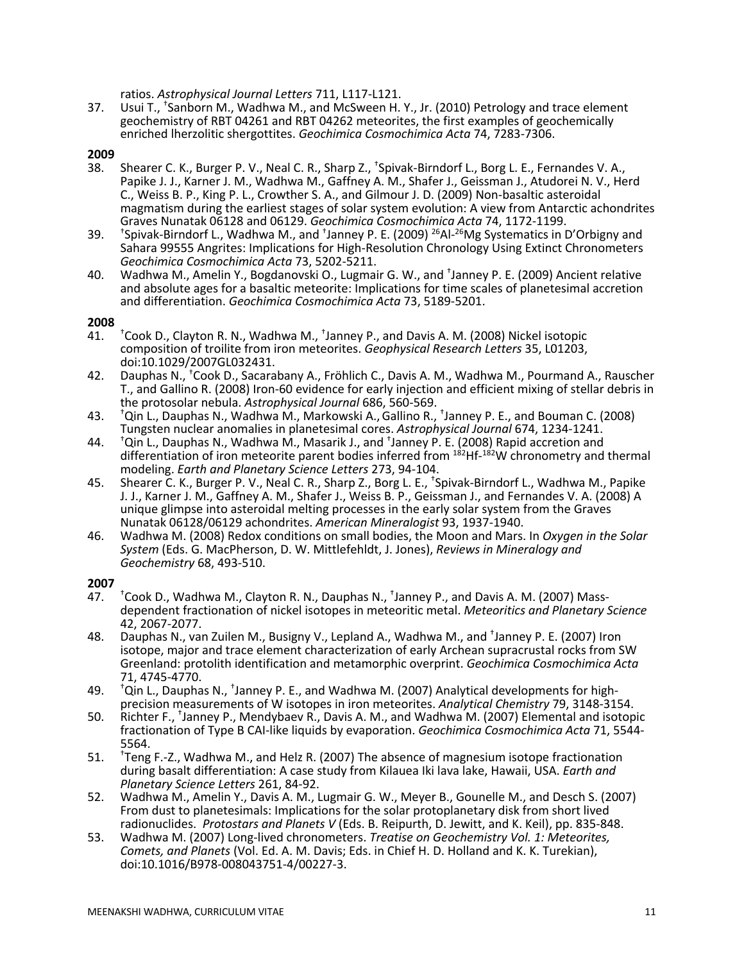ratios. *Astrophysical Journal Letters* 711, L117-L121.

37. Usui T., <sup>†</sup>Sanborn M., Wadhwa M., and McSween H. Y., Jr. (2010) Petrology and trace element geochemistry of RBT 04261 and RBT 04262 meteorites, the first examples of geochemically enriched lherzolitic shergottites. *Geochimica Cosmochimica Acta* 74, 7283-7306.

# **2009**

- 38. Shearer C. K., Burger P. V., Neal C. R., Sharp Z., <sup>†</sup>Spivak-Birndorf L., Borg L. E., Fernandes V. A., Papike J. J., Karner J. M., Wadhwa M., Gaffney A. M., Shafer J., Geissman J., Atudorei N. V., Herd C., Weiss B. P., King P. L., Crowther S. A., and Gilmour J. D. (2009) Non-basaltic asteroidal magmatism during the earliest stages of solar system evolution: A view from Antarctic achondrites Graves Nunatak 06128 and 06129. *Geochimica Cosmochimica Acta* 74, 1172-1199.
- 39. † Spivak-Birndorf L., Wadhwa M., and <sup>+</sup>Janney P. E. (2009) <sup>26</sup>Al-<sup>26</sup>Mg Systematics in D'Orbigny and Sahara 99555 Angrites: Implications for High-Resolution Chronology Using Extinct Chronometers *Geochimica Cosmochimica Acta* 73, 5202-5211.
- 40. Wadhwa M., Amelin Y., Bogdanovski O., Lugmair G. W., and <sup>+</sup>Janney P. E. (2009) Ancient relative and absolute ages for a basaltic meteorite: Implications for time scales of planetesimal accretion and differentiation. *Geochimica Cosmochimica Acta* 73, 5189-5201.

## **2008**

- $41.$ Cook D., Clayton R. N., Wadhwa M., <sup>†</sup>Janney P., and Davis A. M. (2008) Nickel isotopic composition of troilite from iron meteorites. *Geophysical Research Letters* 35, L01203, doi:10.1029/2007GL032431.
- 42. Dauphas N., <sup>†</sup>Cook D., Sacarabany A., Fröhlich C., Davis A. M., Wadhwa M., Pourmand A., Rauscher T., and Gallino R. (2008) Iron-60 evidence for early injection and efficient mixing of stellar debris in the protosolar nebula. *Astrophysical Journal* 686, 560-569.
- 43. † Qin L., Dauphas N., Wadhwa M., Markowski A.,Gallino R., † Janney P. E., and Bouman C. (2008) Tungsten nuclear anomalies in planetesimal cores. *Astrophysical Journal* 674, 1234-1241.
- 44. † Qin L., Dauphas N., Wadhwa M., Masarik J., and <sup>+</sup>Janney P. E. (2008) Rapid accretion and differentiation of iron meteorite parent bodies inferred from <sup>182</sup>Hf-<sup>182</sup>W chronometry and thermal modeling. *Earth and Planetary Science Letters* 273, 94-104.
- 45. Shearer C. K., Burger P. V., Neal C. R., Sharp Z., Borg L. E., <sup>+</sup>Spivak-Birndorf L., Wadhwa M., Papike J. J., Karner J. M., Gaffney A. M., Shafer J., Weiss B. P., Geissman J., and Fernandes V. A. (2008) A unique glimpse into asteroidal melting processes in the early solar system from the Graves Nunatak 06128/06129 achondrites. *American Mineralogist* 93, 1937-1940.
- 46. Wadhwa M. (2008) Redox conditions on small bodies, the Moon and Mars. In *Oxygen in the Solar System* (Eds. G. MacPherson, D. W. Mittlefehldt, J. Jones), *Reviews in Mineralogy and Geochemistry* 68, 493-510.

- 47. †  $+$ Cook D., Wadhwa M., Clayton R. N., Dauphas N.,  $+$ Janney P., and Davis A. M. (2007) Massdependent fractionation of nickel isotopes in meteoritic metal. *Meteoritics and Planetary Science* 42, 2067-2077.
- 48. Dauphas N., van Zuilen M., Busigny V., Lepland A., Wadhwa M., and <sup>+</sup>Janney P. E. (2007) Iron isotope, major and trace element characterization of early Archean supracrustal rocks from SW Greenland: protolith identification and metamorphic overprint. *Geochimica Cosmochimica Acta*  71, 4745-4770.
- 49. <sup>t</sup>Qin L., Dauphas N., <sup>†</sup>Janney P. E., and Wadhwa M. (2007) Analytical developments for high-<br>49. precision measurements of W isotopes in iron meteorites. Analytical Chemistry 79, 3148-3154. <sup>†</sup>Qin L., Dauphas N., <sup>†</sup>Janney P. E., and Wadhwa M. (2007) Analytical developments for high-<br>precision measurements of W isotopes in iron meteorites. *Analytical Chemistry 7*9, 3148-3154.
- 50. Richter F., <sup>+</sup>Janney P., Mendybaev R., Davis A. M., and Wadhwa M. (2007) Elemental and isotopic fractionation of Type B CAI-like liquids by evaporation. *Geochimica Cosmochimica Acta* 71, 5544- 5564.
- 51. † <sup>†</sup>Teng F.-Z., Wadhwa M., and Helz R. (2007) The absence of magnesium isotope fractionation during basalt differentiation: A case study from Kilauea Iki lava lake, Hawaii, USA. *Earth and Planetary Science Letters* 261, 84-92.
- 52. Wadhwa M., Amelin Y., Davis A. M., Lugmair G. W., Meyer B., Gounelle M., and Desch S. (2007) From dust to planetesimals: Implications for the solar protoplanetary disk from short lived radionuclides. *Protostars and Planets V* (Eds. B. Reipurth, D. Jewitt, and K. Keil), pp. 835-848.
- 53. Wadhwa M. (2007) Long-lived chronometers. *Treatise on Geochemistry Vol. 1: Meteorites, Comets, and Planets* (Vol. Ed. A. M. Davis; Eds. in Chief H. D. Holland and K. K. Turekian), doi:10.1016/B978-008043751-4/00227-3.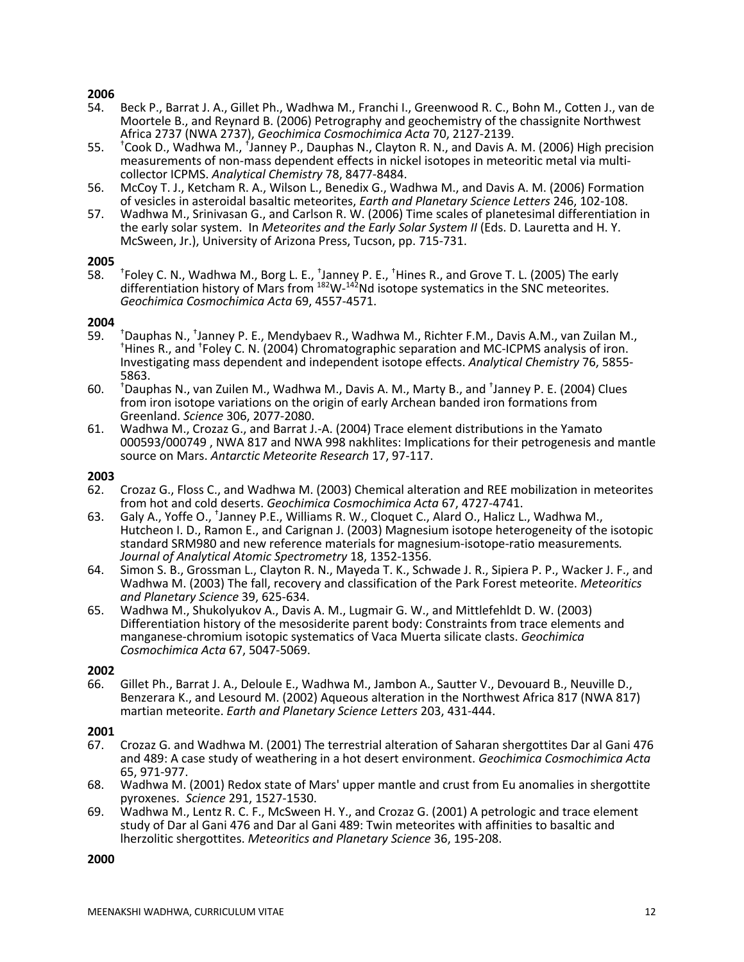# **2006**

- 54. Beck P., Barrat J. A., Gillet Ph., Wadhwa M., Franchi I., Greenwood R. C., Bohn M., Cotten J., van de Moortele B., and Reynard B. (2006) Petrography and geochemistry of the chassignite Northwest Africa 2737 (NWA 2737), *Geochimica Cosmochimica Acta* 70, 2127-2139.
- 55. † Cook D., Wadhwa M., <sup>f</sup>Janney P., Dauphas N., Clayton R. N., and Davis A. M. (2006) High precision measurements of non-mass dependent effects in nickel isotopes in meteoritic metal via multi- collector ICPMS. *Analytical Chemistry* 78, 8477-8484.
- 56. McCoy T. J., Ketcham R. A., Wilson L., Benedix G., Wadhwa M., and Davis A. M. (2006) Formation of vesicles in asteroidal basaltic meteorites, *Earth and Planetary Science Letters* 246, 102-108.
- 57. Wadhwa M., Srinivasan G., and Carlson R. W. (2006) Time scales of planetesimal differentiation in the early solar system. In *Meteorites and the Early Solar System II* (Eds. D. Lauretta and H. Y. McSween, Jr.), University of Arizona Press, Tucson, pp. 715-731.

## **2005**

58. † Foley C. N., Wadhwa M., Borg L. E., <sup>+</sup>Janney P. E., <sup>+</sup>Hines R., and Grove T. L. (2005) The early differentiation history of Mars from  $^{182}$ W- $^{142}$ Nd isotope systematics in the SNC meteorites. *Geochimica Cosmochimica Acta* 69, 4557-4571.

## **2004**

- $59.$ <sup>†</sup>Dauphas N., <sup>†</sup>Janney P. E., Mendybaev R., Wadhwa M., Richter F.M., Davis A.M., van Zuilan M.,<br>†Hines B., and <sup>†</sup>Foley C. N. (2004) Chromatographic separation and MC-ICBMS analysis of iron. Hines R., and <sup>†</sup>Foley C. N. (2004) Chromatographic separation and MC-ICPMS analysis of iron. Investigating mass dependent and independent isotope effects. *Analytical Chemistry* 76, 5855- 5863.
- 60. † Dauphas N., van Zuilen M., Wadhwa M., Davis A. M., Marty B., and <sup>†</sup>Janney P. E. (2004) Clues from iron isotope variations on the origin of early Archean banded iron formations from Greenland. *Science* 306, 2077-2080.
- 61. Wadhwa M., Crozaz G., and Barrat J.-A. (2004) Trace element distributions in the Yamato 000593/000749 , NWA 817 and NWA 998 nakhlites: Implications for their petrogenesis and mantle source on Mars. *Antarctic Meteorite Research* 17, 97-117.

## **2003**

- 62. Crozaz G., Floss C., and Wadhwa M. (2003) Chemical alteration and REE mobilization in meteorites from hot and cold deserts. *Geochimica Cosmochimica Acta* 67, 4727-4741.
- 63. Galy A., Yoffe O., <sup>+</sup>Janney P.E., Williams R. W., Cloquet C., Alard O., Halicz L., Wadhwa M., Hutcheon I. D., Ramon E., and Carignan J. (2003) Magnesium isotope heterogeneity of the isotopic standard SRM980 and new reference materials for magnesium-isotope-ratio measurements*. Journal of Analytical Atomic Spectrometry* 18, 1352-1356.
- 64. Simon S. B., Grossman L., Clayton R. N., Mayeda T. K., Schwade J. R., Sipiera P. P., Wacker J. F., and Wadhwa M. (2003) The fall, recovery and classification of the Park Forest meteorite. *Meteoritics*
- *and Planetary Science* 39, 625-634. 65. Wadhwa M., Shukolyukov A., Davis A. M., Lugmair G. W., and Mittlefehldt D. W. (2003) Differentiation history of the mesosiderite parent body: Constraints from trace elements and manganese-chromium isotopic systematics of Vaca Muerta silicate clasts. *Geochimica Cosmochimica Acta* 67, 5047-5069.

## **2002**

66. Gillet Ph., Barrat J. A., Deloule E., Wadhwa M., Jambon A., Sautter V., Devouard B., Neuville D., Benzerara K., and Lesourd M. (2002) Aqueous alteration in the Northwest Africa 817 (NWA 817) martian meteorite. *Earth and Planetary Science Letters* 203, 431-444.

## **2001**

- 67. Crozaz G. and Wadhwa M. (2001) The terrestrial alteration of Saharan shergottites Dar al Gani 476 and 489: A case study of weathering in a hot desert environment. *Geochimica Cosmochimica Acta* 65, 971-977.
- 68. Wadhwa M. (2001) Redox state of Mars' upper mantle and crust from Eu anomalies in shergottite pyroxenes. *Science* 291, 1527-1530.
- 69. Wadhwa M., Lentz R. C. F., McSween H. Y., and Crozaz G. (2001) A petrologic and trace element study of Dar al Gani 476 and Dar al Gani 489: Twin meteorites with affinities to basaltic and lherzolitic shergottites. *Meteoritics and Planetary Science* 36, 195-208.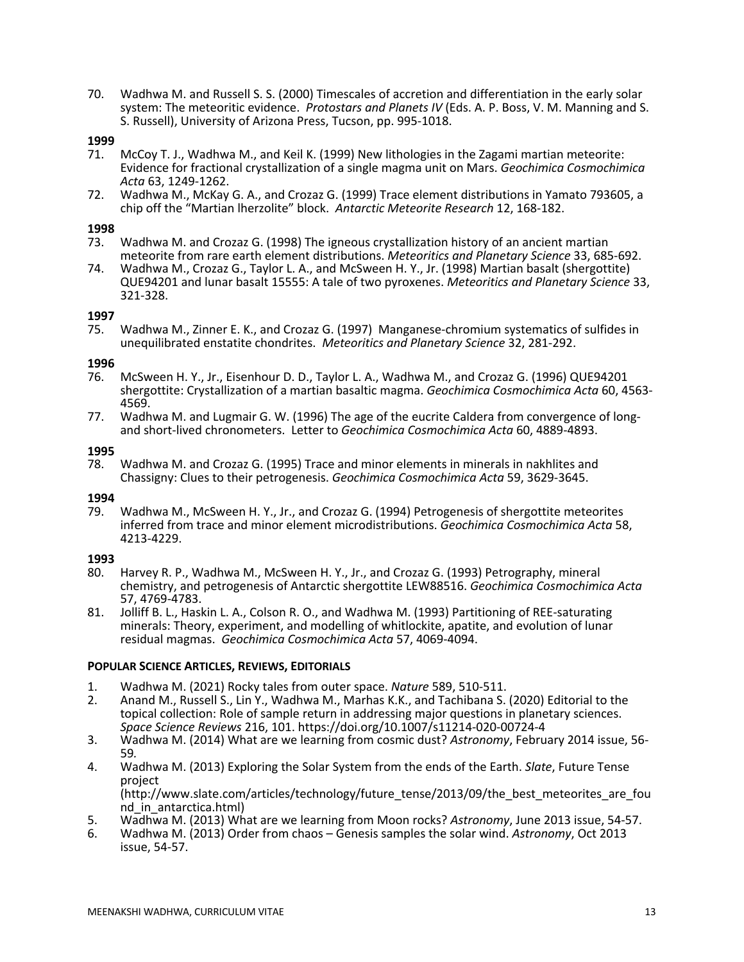70. Wadhwa M. and Russell S. S. (2000) Timescales of accretion and differentiation in the early solar system: The meteoritic evidence. *Protostars and Planets IV* (Eds. A. P. Boss, V. M. Manning and S. S. Russell), University of Arizona Press, Tucson, pp. 995-1018.

## **1999**

- 71. McCoy T. J., Wadhwa M., and Keil K. (1999) New lithologies in the Zagami martian meteorite: Evidence for fractional crystallization of a single magma unit on Mars. *Geochimica Cosmochimica Acta* 63, 1249-1262.
- 72. Wadhwa M., McKay G. A., and Crozaz G. (1999) Trace element distributions in Yamato 793605, a chip off the "Martian lherzolite" block. *Antarctic Meteorite Research* 12, 168-182.

## **1998**

- 73. Wadhwa M. and Crozaz G. (1998) The igneous crystallization history of an ancient martian meteorite from rare earth element distributions. *Meteoritics and Planetary Science* 33, 685-692.
- 74. Wadhwa M., Crozaz G., Taylor L. A., and McSween H. Y., Jr. (1998) Martian basalt (shergottite) QUE94201 and lunar basalt 15555: A tale of two pyroxenes. *Meteoritics and Planetary Science* 33, 321-328.

## **1997**

75. Wadhwa M., Zinner E. K., and Crozaz G. (1997) Manganese-chromium systematics of sulfides in unequilibrated enstatite chondrites. *Meteoritics and Planetary Science* 32, 281-292.

## **1996**

- 76. McSween H. Y., Jr., Eisenhour D. D., Taylor L. A., Wadhwa M., and Crozaz G. (1996) QUE94201 shergottite: Crystallization of a martian basaltic magma. *Geochimica Cosmochimica Acta* 60, 4563- 4569.
- 77. Wadhwa M. and Lugmair G. W. (1996) The age of the eucrite Caldera from convergence of longand short-lived chronometers. Letter to *Geochimica Cosmochimica Acta* 60, 4889-4893.

## **1995**

78. Wadhwa M. and Crozaz G. (1995) Trace and minor elements in minerals in nakhlites and Chassigny: Clues to their petrogenesis. *Geochimica Cosmochimica Acta* 59, 3629-3645.

# **1994**

79. Wadhwa M., McSween H. Y., Jr., and Crozaz G. (1994) Petrogenesis of shergottite meteorites inferred from trace and minor element microdistributions. *Geochimica Cosmochimica Acta* 58, 4213-4229.

## **1993**

- 80. Harvey R. P., Wadhwa M., McSween H. Y., Jr., and Crozaz G. (1993) Petrography, mineral chemistry, and petrogenesis of Antarctic shergottite LEW88516. *Geochimica Cosmochimica Acta*  57, 4769-4783.
- 81. Jolliff B. L., Haskin L. A., Colson R. O., and Wadhwa M. (1993) Partitioning of REE-saturating minerals: Theory, experiment, and modelling of whitlockite, apatite, and evolution of lunar residual magmas. *Geochimica Cosmochimica Acta* 57, 4069-4094.

# **POPULAR SCIENCE ARTICLES, REVIEWS, EDITORIALS**

- 1. Wadhwa M. (2021) Rocky tales from outer space. *Nature* 589, 510-511.
- 2. Anand M., Russell S., Lin Y., Wadhwa M., Marhas K.K., and Tachibana S. (2020) Editorial to the topical collection: Role of sample return in addressing major questions in planetary sciences. *Space Science Reviews* 216, 101. https://doi.org/10.1007/s11214-020-00724-4
- 3. Wadhwa M. (2014) What are we learning from cosmic dust? *Astronomy*, February 2014 issue, 56- <sup>59</sup>*.*
- 4. Wadhwa M. (2013) Exploring the Solar System from the ends of the Earth. *Slate*, Future Tense project

(http://www.slate.com/articles/technology/future\_tense/2013/09/the\_best\_meteorites\_are\_fou nd in antarctica.html)

- 5. Wadhwa M. (2013) What are we learning from Moon rocks? *Astronomy*, June 2013 issue, 54-57.
- 6. Wadhwa M. (2013) Order from chaos Genesis samples the solar wind. *Astronomy*, Oct 2013 issue, 54-57.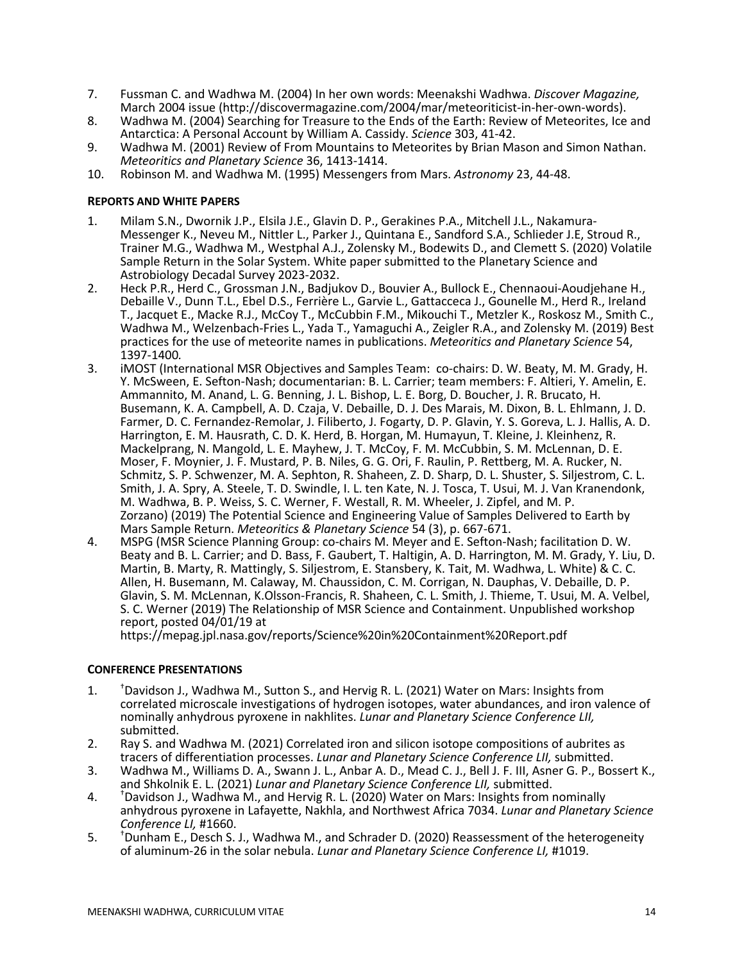- 7. Fussman C. and Wadhwa M. (2004) In her own words: Meenakshi Wadhwa. *Discover Magazine,* March 2004 issue (http://discovermagazine.com/2004/mar/meteoriticist-in-her-own-words).
- 8. Wadhwa M. (2004) Searching for Treasure to the Ends of the Earth: Review of Meteorites, Ice and Antarctica: A Personal Account by William A. Cassidy. *Science* 303, 41-42.
- 9. Wadhwa M. (2001) Review of From Mountains to Meteorites by Brian Mason and Simon Nathan. *Meteoritics and Planetary Science* 36, 1413-1414.
- 10. Robinson M. and Wadhwa M. (1995) Messengers from Mars. *Astronomy* 23, 44-48.

## **REPORTS AND WHITE PAPERS**

- 1. Milam S.N., Dwornik J.P., Elsila J.E., Glavin D. P., Gerakines P.A., Mitchell J.L., Nakamura- Messenger K., Neveu M., Nittler L., Parker J., Quintana E., Sandford S.A., Schlieder J.E, Stroud R., Trainer M.G., Wadhwa M., Westphal A.J., Zolensky M., Bodewits D., and Clemett S. (2020) Volatile Sample Return in the Solar System. White paper submitted to the Planetary Science and Astrobiology Decadal Survey 2023-2032.
- 2. Heck P.R., Herd C., Grossman J.N., Badjukov D., Bouvier A., Bullock E., Chennaoui-Aoudjehane H., Debaille V., Dunn T.L., Ebel D.S., Ferrière L., Garvie L., Gattacceca J., Gounelle M., Herd R., Ireland T., Jacquet E., Macke R.J., McCoy T., McCubbin F.M., Mikouchi T., Metzler K., Roskosz M., Smith C., Wadhwa M., Welzenbach-Fries L., Yada T., Yamaguchi A., Zeigler R.A., and Zolensky M. (2019) Best practices for the use of meteorite names in publications. *Meteoritics and Planetary Science* 54,
- 1397-1400*.* 3. iMOST (International MSR Objectives and Samples Team: co-chairs: D. W. Beaty, M. M. Grady, H. Y. McSween, E. Sefton-Nash; documentarian: B. L. Carrier; team members: F. Altieri, Y. Amelin, E. Ammannito, M. Anand, L. G. Benning, J. L. Bishop, L. E. Borg, D. Boucher, J. R. Brucato, H.<br>Busemann, K. A. Campbell, A. D. Czaja, V. Debaille, D. J. Des Marais, M. Dixon, B. L. Ehlmann, J. D. Farmer, D. C. Fernandez-Remolar, J. Filiberto, J. Fogarty, D. P. Glavin, Y. S. Goreva, L. J. Hallis, A. D. Harrington, E. M. Hausrath, C. D. K. Herd, B. Horgan, M. Humayun, T. Kleine, J. Kleinhenz, R. Mackelprang, N. Mangold, L. E. Mayhew, J. T. McCoy, F. M. McCubbin, S. M. McLennan, D. E. Moser, F. Moynier, J. F. Mustard, P. B. Niles, G. G. Ori, F. Raulin, P. Rettberg, M. A. Rucker, N. Schmitz, S. P. Schwenzer, M. A. Sephton, R. Shaheen, Z. D. Sharp, D. L. Shuster, S. Siljestrom, C. L. Smith, J. A. Spry, A. Steele, T. D. Swindle, I. L. ten Kate, N. J. Tosca, T. Usui, M. J. Van Kranendonk, M. Wadhwa, B. P. Weiss, S. C. Werner, F. Westall, R. M. Wheeler, J. Zipfel, and M. P. Zorzano) (2019) The Potential Science and Engineering Value of Samples Delivered to Earth by<br>Mars Sample Return. Meteoritics & Planetary Science 54 (3), p. 667-671.
- 4. MSPG (MSR Science Planning Group: co-chairs M. Meyer and E. Sefton-Nash; facilitation D. W. Beaty and B. L. Carrier; and D. Bass, F. Gaubert, T. Haltigin, A. D. Harrington, M. M. Grady, Y. Liu, D. Martin, B. Marty, R. Mattingly, S. Siljestrom, E. Stansbery, K. Tait, M. Wadhwa, L. White) & C. C. Allen, H. Busemann, M. Calaway, M. Chaussidon, C. M. Corrigan, N. Dauphas, V. Debaille, D. P. Glavin, S. M. McLennan, K.Olsson-Francis, R. Shaheen, C. L. Smith, J. Thieme, T. Usui, M. A. Velbel, S. C. Werner (2019) The Relationship of MSR Science and Containment. Unpublished workshop report, posted 04/01/19 at

https://mepag.jpl.nasa.gov/reports/Science%20in%20Containment%20Report.pdf

# **CONFERENCE PRESENTATIONS**

- $\mathbf{1}$ .  $<sup>†</sup>$ Davidson J., Wadhwa M., Sutton S., and Hervig R. L. (2021) Water on Mars: Insights from</sup> correlated microscale investigations of hydrogen isotopes, water abundances, and iron valence of nominally anhydrous pyroxene in nakhlites. *Lunar and Planetary Science Conference LII,* submitted.
- 2. Ray S. and Wadhwa M. (2021) Correlated iron and silicon isotope compositions of aubrites as tracers of differentiation processes. *Lunar and Planetary Science Conference LII,* submitted.
- 3. Wadhwa M., Williams D. A., Swann J. L., Anbar A. D., Mead C. J., Bell J. F. III, Asner G. P., Bossert K., and Shkolnik E. L. (2021) *Lunar and Planetary Science Conference LII*, submitted.
- and Shkolnik E. L. (2021) *Lunar and Planetary Science Conference LII,* submitted.<br>4. <sup>†</sup>Davidson J., Wadhwa M., and Hervig R. L. (2020) Water on Mars: Insights from nominally anhydrous pyroxene in Lafayette, Nakhla, and Northwest Africa 7034. *Lunar and Planetary Science Conference LI,* #1660.
- $5<sub>1</sub>$  $<sup>†</sup>$ Dunham E., Desch S. J., Wadhwa M., and Schrader D. (2020) Reassessment of the heterogeneity</sup> of aluminum-26 in the solar nebula. *Lunar and Planetary Science Conference LI,* #1019.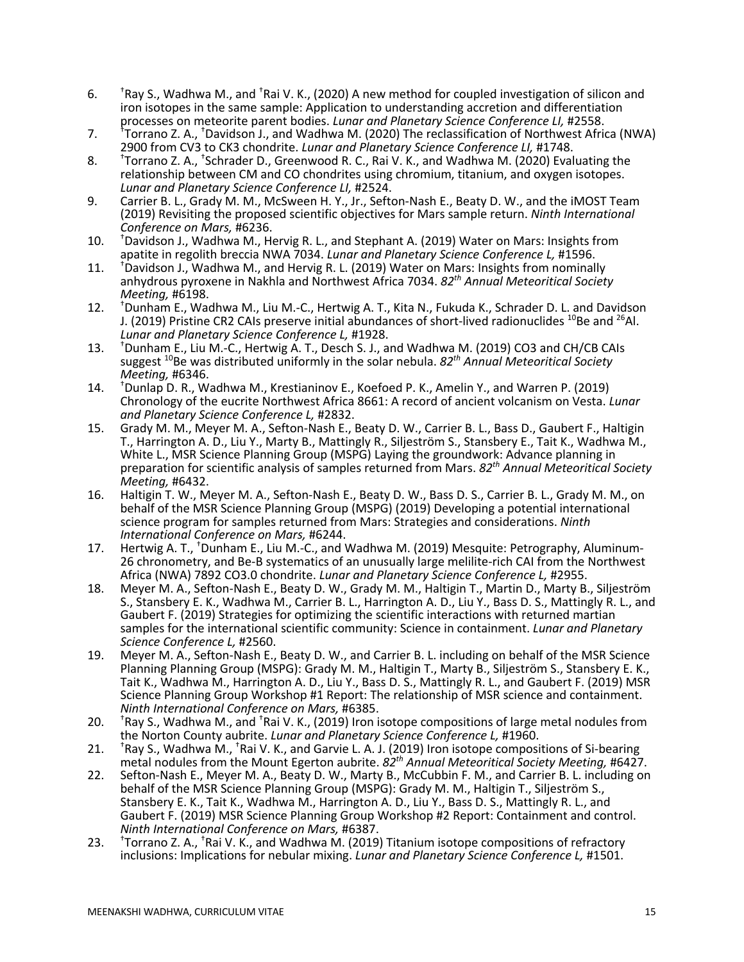- 6. † Ray S., Wadhwa M., and <sup>†</sup>Rai V. K., (2020) A new method for coupled investigation of silicon and iron isotopes in the same sample: Application to understanding accretion and differentiation
- processes on meteorite parent bodies. *Lunar and Planetary Science Conference LI,* #2558.<br>7. †Torrano Z. A., †Davidson J., and Wadhwa M. (2020) The reclassification of Northwest Africa (NWA) 2900 from CV3 to CK3 chondrite. *Lunar and Planetary Science Conference LI,* #1748.
- 8. † Torrano Z. A., <sup>†</sup>Schrader D., Greenwood R. C., Rai V. K., and Wadhwa M. (2020) Evaluating the relationship between CM and CO chondrites using chromium, titanium, and oxygen isotopes. *Lunar and Planetary Science Conference LI,* #2524.
- 9. Carrier B. L., Grady M. M., McSween H. Y., Jr., Sefton-Nash E., Beaty D. W., and the iMOST Team (2019) Revisiting the proposed scientific objectives for Mars sample return. *Ninth International Conference on Mars,* #6236.
- $10.$ <sup>+</sup>Davidson J., Wadhwa M., Hervig R. L., and Stephant A. (2019) Water on Mars: Insights from apatite in regolith breccia NWA 7034. *Lunar and Planetary Science Conference L,* #1596.
- 11. † <sup>+</sup>Davidson J., Wadhwa M., and Hervig R. L. (2019) Water on Mars: Insights from nominally anhydrous pyroxene in Nakhla and Northwest Africa 7034. *82th Annual Meteoritical Society Meeting,* #6198.
- $12.$ <sup>†</sup>Dunham E., Wadhwa M., Liu M.-C., Hertwig A. T., Kita N., Fukuda K., Schrader D. L. and Davidson J. (2019) Pristine CR2 CAIs preserve initial abundances of short-lived radionuclides  $^{10}$ Be and  $^{26}$ Al. *Lunar and Planetary Science Conference L,* #1928.
- $13.$ <sup>†</sup>Dunham E., Liu M.-C., Hertwig A. T., Desch S. J., and Wadhwa M. (2019) CO3 and CH/CB CAIs suggest 10Be was distributed uniformly in the solar nebula. *82th Annual Meteoritical Society Meeting,* #6346.
- $14.$ Dunlap D. R., Wadhwa M., Krestianinov E., Koefoed P. K., Amelin Y., and Warren P. (2019) Chronology of the eucrite Northwest Africa 8661: A record of ancient volcanism on Vesta. *Lunar and Planetary Science Conference L,* #2832.
- 15. Grady M. M., Meyer M. A., Sefton-Nash E., Beaty D. W., Carrier B. L., Bass D., Gaubert F., Haltigin T., Harrington A. D., Liu Y., Marty B., Mattingly R., Siljeström S., Stansbery E., Tait K., Wadhwa M., White L., MSR Science Planning Group (MSPG) Laying the groundwork: Advance planning in preparation for scientific analysis of samples returned from Mars. *82th Annual Meteoritical Society Meeting,* #6432.
- 16. Haltigin T. W., Meyer M. A., Sefton-Nash E., Beaty D. W., Bass D. S., Carrier B. L., Grady M. M., on behalf of the MSR Science Planning Group (MSPG) (2019) Developing a potential international science program for samples returned from Mars: Strategies and considerations. *Ninth International Conference on Mars,* #6244.
- 17. Hertwig A. T., <sup>†</sup>Dunham E., Liu M.-C., and Wadhwa M. (2019) Mesquite: Petrography, Aluminum-26 chronometry, and Be-B systematics of an unusually large melilite-rich CAI from the Northwest<br>Africa (NWA) 7892 CO3.0 chondrite. Lunar and Planetary Science Conference L, #2955.
- 18. Meyer M. A., Sefton-Nash E., Beaty D. W., Grady M. M., Haltigin T., Martin D., Marty B., Siljeström S., Stansbery E. K., Wadhwa M., Carrier B. L., Harrington A. D., Liu Y., Bass D. S., Mattingly R. L., and Gaubert F. (2019) Strategies for optimizing the scientific interactions with returned martian samples for the international scientific community: Science in containment. *Lunar and Planetary Science Conference L,* #2560.
- 19. Meyer M. A., Sefton-Nash E., Beaty D. W., and Carrier B. L. including on behalf of the MSR Science Planning Planning Group (MSPG): Grady M. M., Haltigin T., Marty B., Siljeström S., Stansbery E. K., Tait K., Wadhwa M., Harrington A. D., Liu Y., Bass D. S., Mattingly R. L., and Gaubert F. (2019) MSR Science Planning Group Workshop #1 Report: The relationship of MSR science and containment. *Ninth International Conference on Mars,* #6385.
- $20.$ Ray S., Wadhwa M., and <sup>†</sup>Rai V. K., (2019) Iron isotope compositions of large metal nodules from the Norton County aubrite. *Lunar and Planetary Science Conference L,* #1960.
- 21. <sup>t</sup>Ray S., Wadhwa M., <sup>t</sup>Rai V. K., and Garvie L. A. J. (2019) Iron isotope compositions of Si-bearing<br>metal nodules from the Mount Egerton aubrite.  $82^{th}$  Annual Meteoritical Society Meeting, #6427. Ray S., Wadhwa M., <sup>†</sup>Rai V. K., and Garvie L. A. J. (2019) Iron isotope compositions of Si-bearing
- 22. Sefton-Nash E., Meyer M. A., Beaty D. W., Marty B., McCubbin F. M., and Carrier B. L. including on behalf of the MSR Science Planning Group (MSPG): Grady M. M., Haltigin T., Siljeström S., Stansbery E. K., Tait K., Wadhwa M., Harrington A. D., Liu Y., Bass D. S., Mattingly R. L., and Gaubert F. (2019) MSR Science Planning Group Workshop #2 Report: Containment and control.<br>Ninth International Conference on Mars, #6387.
- *Ninth International Conference on Mars,* #6387.<br>23. <sup>†</sup>Torrano Z. A., <sup>†</sup>Rai V. K., and Wadhwa M. (2019) Titanium isotope compositions of refractory inclusions: Implications for nebular mixing. *Lunar and Planetary Science Conference L,* #1501.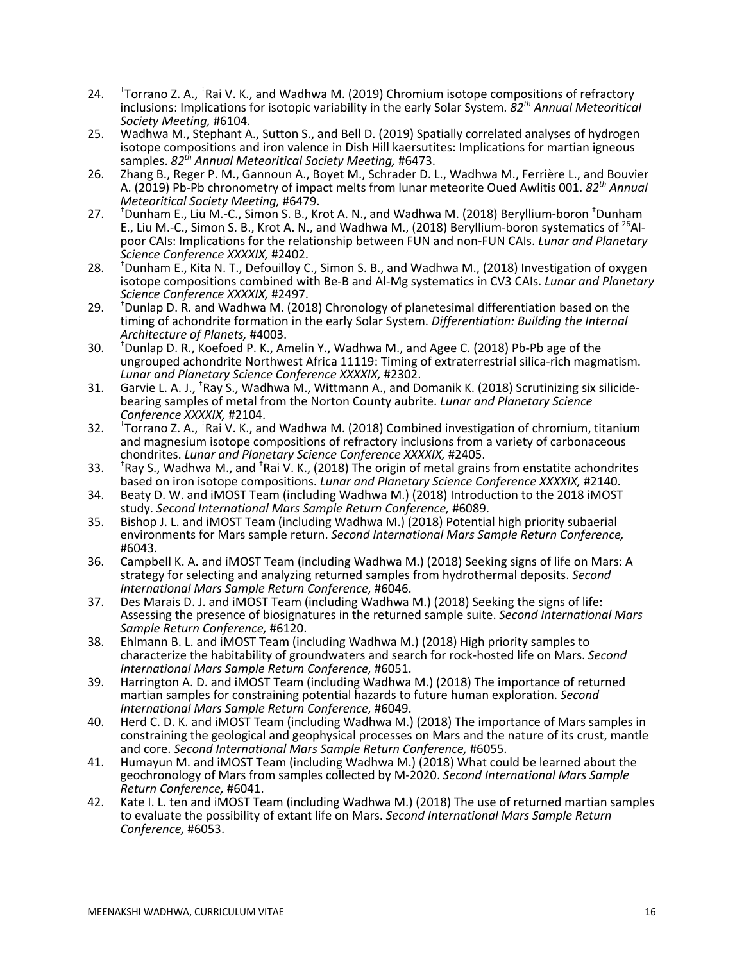- $24.$ Torrano Z. A., <sup>†</sup>Rai V. K., and Wadhwa M. (2019) Chromium isotope compositions of refractory inclusions: Implications for isotopic variability in the early Solar System. *82th Annual Meteoritical Society Meeting,* #6104.
- 25. Wadhwa M., Stephant A., Sutton S., and Bell D. (2019) Spatially correlated analyses of hydrogen isotope compositions and iron valence in Dish Hill kaersutites: Implications for martian igneous samples. *82th Annual Meteoritical Society Meeting,* #6473.
- 26. Zhang B., Reger P. M., Gannoun A., Boyet M., Schrader D. L., Wadhwa M., Ferrière L., and Bouvier A. (2019) Pb-Pb chronometry of impact melts from lunar meteorite Oued Awlitis 001. *82th Annual Meteoritical Society Meeting,* #6479.
- $27.$ Dunham E., Liu M.-C., Simon S. B., Krot A. N., and Wadhwa M. (2018) Beryllium-boron † Dunham E., Liu M.-C., Simon S. B., Krot A. N., and Wadhwa M., (2018) Beryllium-boron systematics of  $^{26}$ Alpoor CAIs: Implications for the relationship between FUN and non-FUN CAIs. *Lunar and Planetary Science Conference XXXXIX,* #2402.
- 28. † <sup>†</sup>Dunham E., Kita N. T., Defouilloy C., Simon S. B., and Wadhwa M., (2018) Investigation of oxygen isotope compositions combined with Be-B and Al-Mg systematics in CV3 CAIs. *Lunar and Planetary*
- *Science Conference XXXXIX,* #2497. 29. † Dunlap D. R. and Wadhwa M. (2018) Chronology of planetesimal differentiation based on the timing of achondrite formation in the early Solar System. *Differentiation: Building the Internal Architecture of Planets,* #4003.
- $30.$  $<sup>†</sup>Dunlap D. R., Koefoed P. K., Amelin Y., Wadhwa M., and Agee C. (2018) Pb-Pb age of the$ </sup> ungrouped achondrite Northwest Africa 11119: Timing of extraterrestrial silica-rich magmatism. *Lunar and Planetary Science Conference XXXXIX,* #2302.
- 31. Garvie L. A. J., <sup>†</sup>Ray S., Wadhwa M., Wittmann A., and Domanik K. (2018) Scrutinizing six silicidebearing samples of metal from the Norton County aubrite. *Lunar and Planetary Science Conference XXXXIX,* #2104.
- $32.$ Torrano Z. A., <sup>†</sup>Rai V. K., and Wadhwa M. (2018) Combined investigation of chromium, titanium and magnesium isotope compositions of refractory inclusions from a variety of carbonaceous chondrites. *Lunar and Planetary Science Conference XXXXIX,* #2405.
- $33.$ Ray S., Wadhwa M., and <sup>†</sup>Rai V. K., (2018) The origin of metal grains from enstatite achondrites based on iron isotope compositions. *Lunar and Planetary Science Conference XXXXIX,* #2140.
- 34. Beaty D. W. and iMOST Team (including Wadhwa M.) (2018) Introduction to the 2018 iMOST study. *Second International Mars Sample Return Conference,* #6089.
- 35. Bishop J. L. and iMOST Team (including Wadhwa M.) (2018) Potential high priority subaerial environments for Mars sample return. *Second International Mars Sample Return Conference,*
- #6043. 36. Campbell K. A. and iMOST Team (including Wadhwa M.) (2018) Seeking signs of life on Mars: A strategy for selecting and analyzing returned samples from hydrothermal deposits. *Second International Mars Sample Return Conference,* #6046.
- 37. Des Marais D. J. and iMOST Team (including Wadhwa M.) (2018) Seeking the signs of life: Assessing the presence of biosignatures in the returned sample suite. *Second International Mars Sample Return Conference,* #6120.
- 38. Ehlmann B. L. and iMOST Team (including Wadhwa M.) (2018) High priority samples to characterize the habitability of groundwaters and search for rock-hosted life on Mars. *Second*
- 39. Harrington A. D. and iMOST Team (including Wadhwa M.) (2018) The importance of returned martian samples for constraining potential hazards to future human exploration. *Second International Mars Sample Return Conference,* #6049.
- 40. Herd C. D. K. and iMOST Team (including Wadhwa M.) (2018) The importance of Mars samples in constraining the geological and geophysical processes on Mars and the nature of its crust, mantle and core. Second International Mars Sample Return Conference, #6055.
- and core. *Second International Mars Sample Return Conference,* #6055. 41. Humayun M. and iMOST Team (including Wadhwa M.) (2018) What could be learned about the geochronology of Mars from samples collected by M-2020. *Second International Mars Sample*
- *Return Conference,* #6041. 42. Kate I. L. ten and iMOST Team (including Wadhwa M.) (2018) The use of returned martian samples to evaluate the possibility of extant life on Mars. *Second International Mars Sample Return Conference,* #6053.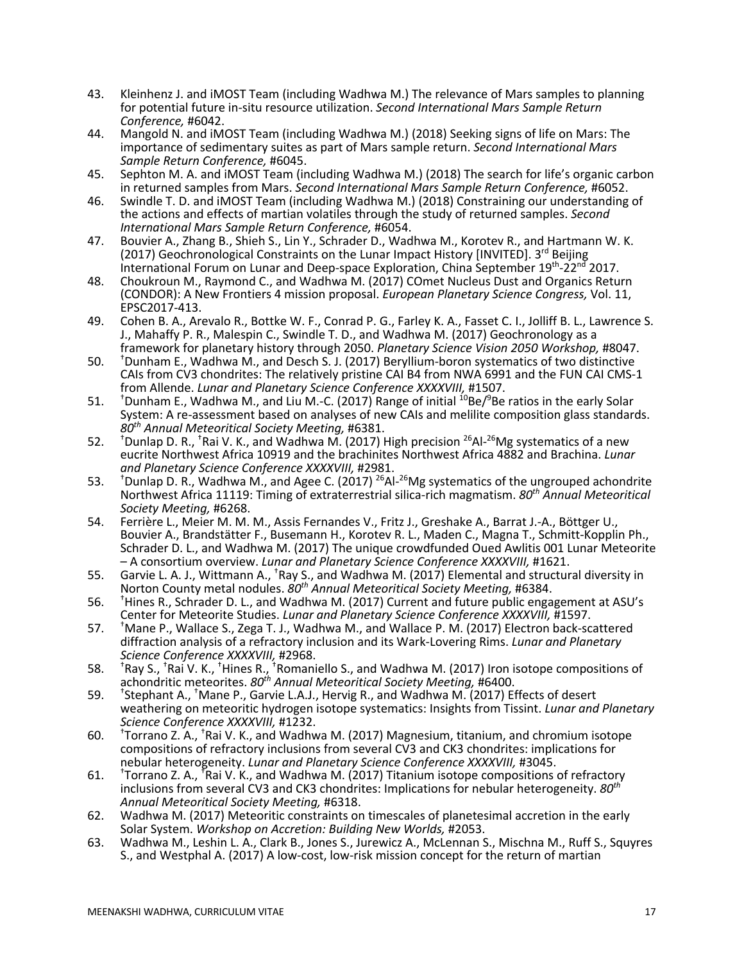- 43. Kleinhenz J. and iMOST Team (including Wadhwa M.) The relevance of Mars samples to planning for potential future in-situ resource utilization. *Second International Mars Sample Return*
- *Conference,* #6042. 44. Mangold N. and iMOST Team (including Wadhwa M.) (2018) Seeking signs of life on Mars: The importance of sedimentary suites as part of Mars sample return. *Second International Mars*
- 45. Sephton M. A. and iMOST Team (including Wadhwa M.) (2018) The search for life's organic carbon in returned samples from Mars. *Second International Mars Sample Return Conference,* #6052.
- 46. Swindle T. D. and iMOST Team (including Wadhwa M.) (2018) Constraining our understanding of the actions and effects of martian volatiles through the study of returned samples. *Second*
- *International Mars Sample Return Conference,* #6054. 47. Bouvier A., Zhang B., Shieh S., Lin Y., Schrader D., Wadhwa M., Korotev R., and Hartman (2017) Geochronological Constraints on the Lunar Impact History [INVITED]. 3<sup>rd</sup> Beijing International Forum on Lunar and Deep-space Exploration, China September 19th-22nd 2017.
- 48. Choukroun M., Raymond C., and Wadhwa M. (2017) COmet Nucleus Dust and Organics Return (CONDOR): A New Frontiers 4 mission proposal. *European Planetary Science Congress,* Vol. 11, EPSC2017-413.
- 49. Cohen B. A., Arevalo R., Bottke W. F., Conrad P. G., Farley K. A., Fasset C. I., Jolliff B. L., Lawrence S. J., Mahaffy P. R., Malespin C., Swindle T. D., and Wadhwa M. (2017) Geochronology as a framework for planetary history through 2050. *Planetary Science Vision 2050 Workshop,* #8047.
- $50.$ <sup>+</sup>Dunham E., Wadhwa M., and Desch S. J. (2017) Beryllium-boron systematics of two distinctive CAIs from CV3 chondrites: The relatively pristine CAI B4 from NWA 6991 and the FUN CAI CMS-1 from Allende. *Lunar and Planetary Science Conference XXXXVIII,* #1507.
- 51. † Dunham E., Wadhwa M., and Liu M.-C. (2017) Range of initial <sup>10</sup>Be/<sup>9</sup>Be ratios in the early Solar System: A re-assessment based on analyses of new CAIs and melilite composition glass standards. *80th Annual Meteoritical Society Meeting,* #6381.
- $52.$ Dunlap D. R., <sup>†</sup>Rai V. K., and Wadhwa M. (2017) High precision <sup>26</sup>Al-<sup>26</sup>Mg systematics of a new eucrite Northwest Africa 10919 and the brachinites Northwest Africa 4882 and Brachina. *Lunar and Planetary Science Conference XXXXVIII,* #2981.
- 53. † Dunlap D. R., Wadhwa M., and Agee C. (2017) <sup>26</sup>Al-<sup>26</sup>Mg systematics of the ungrouped achondrite Northwest Africa 11119: Timing of extraterrestrial silica-rich magmatism. *80th Annual Meteoritical Society Meeting,* #6268.
- 54. Ferrière L., Meier M. M., M., Assis Fernandes V., Fritz J., Greshake A., Barrat J.-A., Böttger U., Bouvier A., Brandstätter F., Busemann H., Korotev R. L., Maden C., Magna T., Schmitt-Kopplin Ph., Schrader D. L., and Wadhwa M. (2017) The unique crowdfunded Oued Awlitis 001 Lunar Meteorite – A consortium overview. *Lunar and Planetary Science Conference XXXXVIII,* #1621.
- 55. Garvie L. A. J., Wittmann A., <sup>†</sup>Ray S., and Wadhwa M. (2017) Elemental and structural diversity in Norton County metal nodules. *80th Annual Meteoritical Society Meeting,* #6384.
- 56. † <sup>+</sup>Hines R., Schrader D. L., and Wadhwa M. (2017) Current and future public engagement at ASU's Center for Meteorite Studies. *Lunar and Planetary Science Conference XXXXVIII,* #1597.
- 57. † Mane P., Wallace S., Zega T. J., Wadhwa M., and Wallace P. M. (2017) Electron back-scattered diffraction analysis of a refractory inclusion and its Wark-Lovering Rims. *Lunar and Planetary Science Conference XXXXVIII,* #2968.
- 58. † Ray S., <sup>†</sup>Rai V. K., <sup>†</sup>Hines R., <sup>†</sup>Romaniello S., and Wadhwa M. (2017) Iron isotope compositions of achondritic meteorites. *80th Annual Meteoritical Society Meeting,* #6400. 59. †
- Stephant A., † Mane P., Garvie L.A.J., Hervig R., and Wadhwa M. (2017) Effects of desert weathering on meteoritic hydrogen isotope systematics: Insights from Tissint. *Lunar and Planetary Science Conference XXXXVIII,* #1232.
- 60. † Torrano Z. A., <sup>†</sup>Rai V. K., and Wadhwa M. (2017) Magnesium, titanium, and chromium isotope compositions of refractory inclusions from several CV3 and CK3 chondrites: implications for nebular heterogeneity. *Lunar and Planetary Science Conference XXXXVIII,* #3045.
- 61. † Torrano Z. A., <sup>F</sup>Rai V. K., and Wadhwa M. (2017) Titanium isotope compositions of refractory inclusions from several CV3 and CK3 chondrites: Implications for nebular heterogeneity. *80th Annual Meteoritical Society Meeting,* #6318.
- 62. Wadhwa M. (2017) Meteoritic constraints on timescales of planetesimal accretion in the early Solar System. *Workshop on Accretion: Building New Worlds,* #2053.
- 63. Wadhwa M., Leshin L. A., Clark B., Jones S., Jurewicz A., McLennan S., Mischna M., Ruff S., Squyres S., and Westphal A. (2017) A low-cost, low-risk mission concept for the return of martian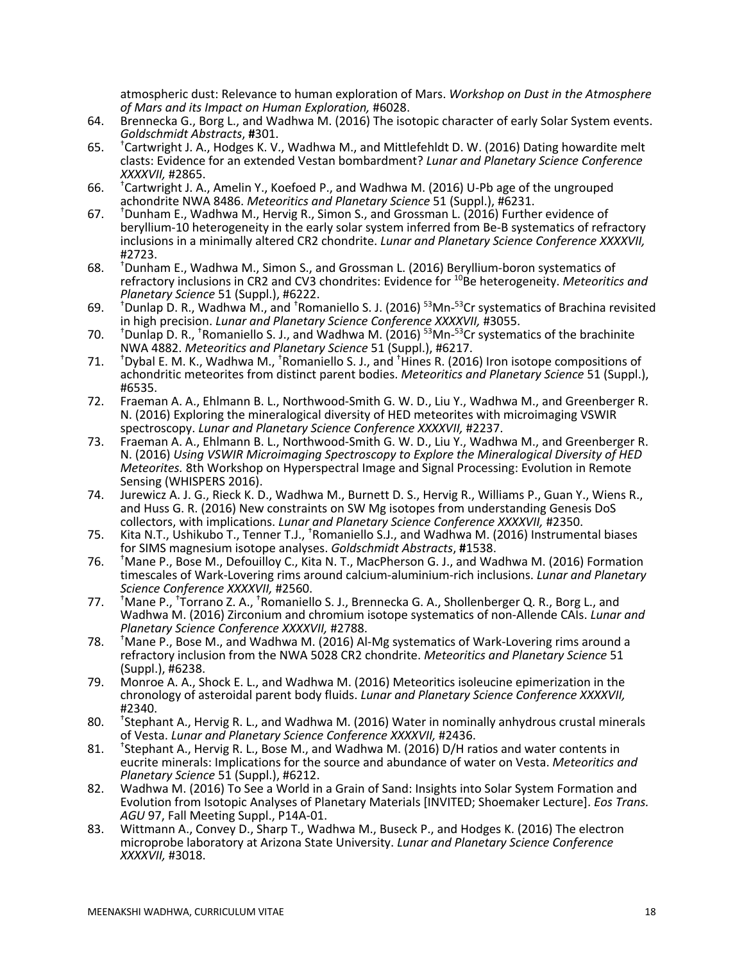atmospheric dust: Relevance to human exploration of Mars. *Workshop on Dust in the Atmosphere of Mars and its Impact on Human Exploration,* #6028.

- 64. Brennecka G., Borg L., and Wadhwa M. (2016) The isotopic character of early Solar System events. *Goldschmidt Abstracts*, **#**301.
- 65. † <sup>+</sup>Cartwright J. A., Hodges K. V., Wadhwa M., and Mittlefehldt D. W. (2016) Dating howardite melt clasts: Evidence for an extended Vestan bombardment? *Lunar and Planetary Science Conference*
- *XXXXVII,* #2865. 66. † Cartwright J. A., Amelin Y., Koefoed P., and Wadhwa M. (2016) U-Pb age of the ungrouped
- achondrite NWA 8486. *Meteoritics and Planetary Science* 51 (Suppl.), #6231.<br>67. <sup>†</sup>Dunham E., Wadhwa M., Hervig R., Simon S., and Grossman L. (2016) Further evidence of beryllium-10 heterogeneity in the early solar system inferred from Be-B systematics of refractory inclusions in a minimally altered CR2 chondrite. *Lunar and Planetary Science Conference XXXXVII,* #2723.
- 68. † <sup>+</sup>Dunham E., Wadhwa M., Simon S., and Grossman L. (2016) Beryllium-boron systematics of refractory inclusions in CR2 and CV3 chondrites: Evidence for <sup>10</sup>Be heterogeneity. *Meteoritics and*<br>Planetary Science 51 (Suppl.), #6222.
- Planetary Science 51 (Suppl.), #6222.<br>69. <sup>†</sup>Dunlap D. R., Wadhwa M., and <sup>†</sup>Romaniello S. J. (2016) <sup>53</sup>Mn-<sup>53</sup>Cr systematics of Brachina revisited
- in high precision. *Lunar and Planetary Science Conference XXXXVII,* #3055.<br>70. <sup>†</sup>Dunlap D. R., <sup>†</sup>Romaniello S. J., and Wadhwa M. (2016) <sup>53</sup>Mn-<sup>53</sup>Cr systematics of the brachinite NWA 4882. *Meteoritics and Planetary Science* 51 (Suppl.), #6217.
- $71.$ Dybal E. M. K., Wadhwa M., <sup>†</sup>Romaniello S. J., and <sup>†</sup>Hines R. (2016) Iron isotope compositions of achondritic meteorites from distinct parent bodies. *Meteoritics and Planetary Science* 51 (Suppl.), #6535.
- 72. Fraeman A. A., Ehlmann B. L., Northwood-Smith G. W. D., Liu Y., Wadhwa M., and Greenberger R. N. (2016) Exploring the mineralogical diversity of HED meteorites with microimaging VSWIR spectroscopy. *Lunar and Planetary Science Conference XXXXVII,* #2237.
- 73. Fraeman A. A., Ehlmann B. L., Northwood-Smith G. W. D., Liu Y., Wadhwa M., and Greenberger R. N. (2016) *Using VSWIR Microimaging Spectroscopy to Explore the Mineralogical Diversity of HED Meteorites.* 8th Workshop on Hyperspectral Image and Signal Processing: Evolution in Remote Sensing (WHISPERS 2016).
- 74. Jurewicz A. J. G., Rieck K. D., Wadhwa M., Burnett D. S., Hervig R., Williams P., Guan Y., Wiens R., and Huss G. R. (2016) New constraints on SW Mg isotopes from understanding Genesis DoS collectors, with implications. *Lunar and Planetary Science Conference XXXXVII,* #2350.
- 75. Kita N.T., Ushikubo T., Tenner T.J., † Romaniello S.J., and Wadhwa M. (2016) Instrumental biases for SIMS magnesium isotope analyses. *Goldschmidt Abstracts*, **#**1538.
- 76. † Mane P., Bose M., Defouilloy C., Kita N. T., MacPherson G. J., and Wadhwa M. (2016) Formation timescales of Wark-Lovering rims around calcium-aluminium-rich inclusions. *Lunar and Planetary Science Conference XXXXVII,* #2560.
- 77. † Mane P., <sup>+</sup>Torrano Z. A., <sup>+</sup>Romaniello S. J., Brennecka G. A., Shollenberger Q. R., Borg L., and Wadhwa M. (2016) Zirconium and chromium isotope systematics of non-Allende CAIs. *Lunar and Planetary Science Conference XXXXVII,* #2788.
- 78. † Mane P., Bose M., and Wadhwa M. (2016) Al-Mg systematics of Wark-Lovering rims around a refractory inclusion from the NWA 5028 CR2 chondrite. *Meteoritics and Planetary Science* 51 (Suppl.), #6238.
- 79. Monroe A. A., Shock E. L., and Wadhwa M. (2016) Meteoritics isoleucine epimerization in the chronology of asteroidal parent body fluids. *Lunar and Planetary Science Conference XXXXVII,* #2340.
- 80. †  $*$ Stephant A., Hervig R. L., and Wadhwa M. (2016) Water in nominally anhydrous crustal minerals of Vesta. *Lunar and Planetary Science Conference XXXXVII,* #2436.
- 81. † <sup>\*</sup>Stephant A., Hervig R. L., Bose M., and Wadhwa M. (2016) D/H ratios and water contents in eucrite minerals: Implications for the source and abundance of water on Vesta. *Meteoritics and Planetary Science* 51 (Suppl.), #6212.
- 82. Wadhwa M. (2016) To See a World in a Grain of Sand: Insights into Solar System Formation and Evolution from Isotopic Analyses of Planetary Materials [INVITED; Shoemaker Lecture]. *Eos Trans. AGU* 97, Fall Meeting Suppl., P14A-01.
- 83. Wittmann A., Convey D., Sharp T., Wadhwa M., Buseck P., and Hodges K. (2016) The electron microprobe laboratory at Arizona State University. *Lunar and Planetary Science Conference XXXXVII,* #3018.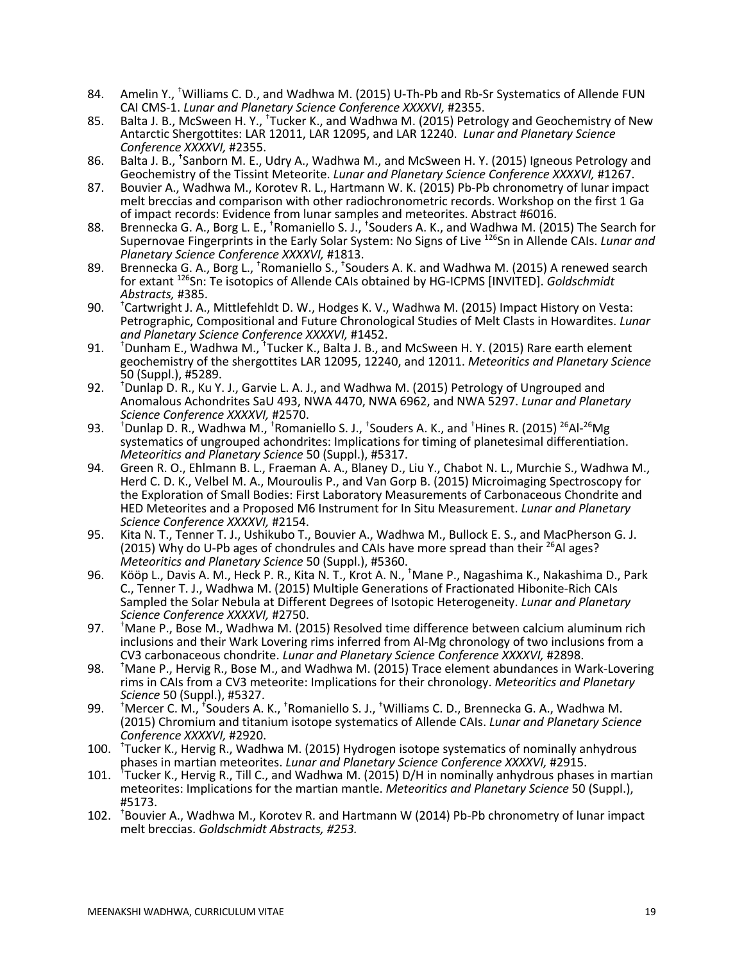- 84. Amelin Y., <sup>†</sup>Williams C. D., and Wadhwa M. (2015) U-Th-Pb and Rb-Sr Systematics of Allende FUN CAI CMS-1. *Lunar and Planetary Science Conference XXXXVI,* #2355.
- 85. Balta J. B., McSween H. Y., <sup>†</sup>Tucker K., and Wadhwa M. (2015) Petrology and Geochemistry of New Antarctic Shergottites: LAR 12011, LAR 12095, and LAR 12240. *Lunar and Planetary Science Conference XXXXVI,* #2355.
- 86. Balta J. B., <sup>†</sup>Sanborn M. E., Udry A., Wadhwa M., and McSween H. Y. (2015) Igneous Petrology and Geochemistry of the Tissint Meteorite. *Lunar and Planetary Science Conference XXXXVI,* #1267.
- 87. Bouvier A., Wadhwa M., Korotev R. L., Hartmann W. K. (2015) Pb-Pb chronometry of lunar impact melt breccias and comparison with other radiochronometric records. Workshop on the first 1 Ga of impact records: Evidence from lunar samples and meteorites. Abstract #6016.
- 88. Brennecka G. A., Borg L. E., <sup>†</sup>Romaniello S. J., <sup>†</sup>Souders A. K., and Wadhwa M. (2015) The Search for Supernovae Fingerprints in the Early Solar System: No Signs of Live 126 Sn in Allende CAIs. *Lunar and Planetary Science Conference XXXXVI,* #1813.
- 89. Brennecka G. A., Borg L., <sup>†</sup>Romaniello S., <sup>†</sup>Souders A. K. and Wadhwa M. (2015) A renewed search for extant 126Sn: Te isotopics of Allende CAIs obtained by HG-ICPMS [INVITED]. *Goldschmidt Abstracts,* #385.
- 90. † <sup>†</sup>Cartwright J. A., Mittlefehldt D. W., Hodges K. V., Wadhwa M. (2015) Impact History on Vesta: Petrographic, Compositional and Future Chronological Studies of Melt Clasts in Howardites. *Lunar and Planetary Science Conference XXXXVI,* #1452.
- 91. † Dunham E., Wadhwa M., <sup>†</sup>Tucker K., Balta J. B., and McSween H. Y. (2015) Rare earth element geochemistry of the shergottites LAR 12095, 12240, and 12011. *Meteoritics and Planetary Science* 50 (Suppl.), #5289.
- 92. † <sup>†</sup>Dunlap D. R., Ku Y. J., Garvie L. A. J., and Wadhwa M. (2015) Petrology of Ungrouped and Anomalous Achondrites SaU 493, NWA 4470, NWA 6962, and NWA 5297. *Lunar and Planetary Science Conference XXXXVI,* #2570.
- 93. † Dunlap D. R., Wadhwa M., <sup>†</sup>Romaniello S. J., <sup>†</sup>Souders A. K., and <sup>†</sup>Hines R. (2015) <sup>26</sup>Al-<sup>26</sup>Mg systematics of ungrouped achondrites: Implications for timing of planetesimal differentiation. *Meteoritics and Planetary Science* 50 (Suppl.), #5317.
- 94. Green R. O., Ehlmann B. L., Fraeman A. A., Blaney D., Liu Y., Chabot N. L., Murchie S., Wadhwa M.<br>Herd C. D. K., Velbel M. A., Mouroulis P., and Van Gorp B. (2015) Microimaging Spectroscopy for the Exploration of Small Bodies: First Laboratory Measurements of Carbonaceous Chondrite and HED Meteorites and a Proposed M6 Instrument for In Situ Measurement. *Lunar and Planetary Science Conference XXXXVI,* #2154.
- 95. Kita N. T., Tenner T. J., Ushikubo T., Bouvier A., Wadhwa M., Bullock E. S., and MacPherson G. J. (2015) Why do U-Pb ages of chondrules and CAIs have more spread than their  $^{26}$ Al ages? *Meteoritics and Planetary Science* 50 (Suppl.), #5360.
- 96. Kööp L., Davis A. M., Heck P. R., Kita N. T., Krot A. N., <sup>†</sup>Mane P., Nagashima K., Nakashima D., Park C., Tenner T. J., Wadhwa M. (2015) Multiple Generations of Fractionated Hibonite-Rich CAIs Sampled the Solar Nebula at Different Degrees of Isotopic Heterogeneity. *Lunar and Planetary Science Conference XXXXVI,* #2750.
- 97. † Mane P., Bose M., Wadhwa M. (2015) Resolved time difference between calcium aluminum rich inclusions and their Wark Lovering rims inferred from Al-Mg chronology of two inclusions from a CV3 carbonaceous chondrite. *Lunar and Planetary Science Conference XXXXVI,* #2898.
- 98. † <sup>†</sup> Mane P., Hervig R., Bose M., and Wadhwa M. (2015) Trace element abundances in Wark-Lovering rims in CAIs from a CV3 meteorite: Implications for their chronology. *Meteoritics and Planetary*
- *Science* 50 (Suppl.), #5327. 99. † Mercer C. M., † Souders A. K., † Romaniello S. J., † Williams C. D., Brennecka G. A., Wadhwa M. (2015) Chromium and titanium isotope systematics of Allende CAIs. *Lunar and Planetary Science Conference XXXXVI,* #2920.
- 100. † Tucker K., Hervig R., Wadhwa M. (2015) Hydrogen isotope systematics of nominally anhydrous phases in martian meteorites. *Lunar and Planetary Science Conference XXXXVI,* #2915.
- 101. † Tucker K., Hervig R., Till C., and Wadhwa M. (2015) D/H in nominally anhydrous phases in martian meteorites: Implications for the martian mantle. *Meteoritics and Planetary Science* 50 (Suppl.), #5173.
- 102. † Bouvier A., Wadhwa M., Korotev R. and Hartmann W (2014) Pb-Pb chronometry of lunar impact melt breccias. *Goldschmidt Abstracts, #253.*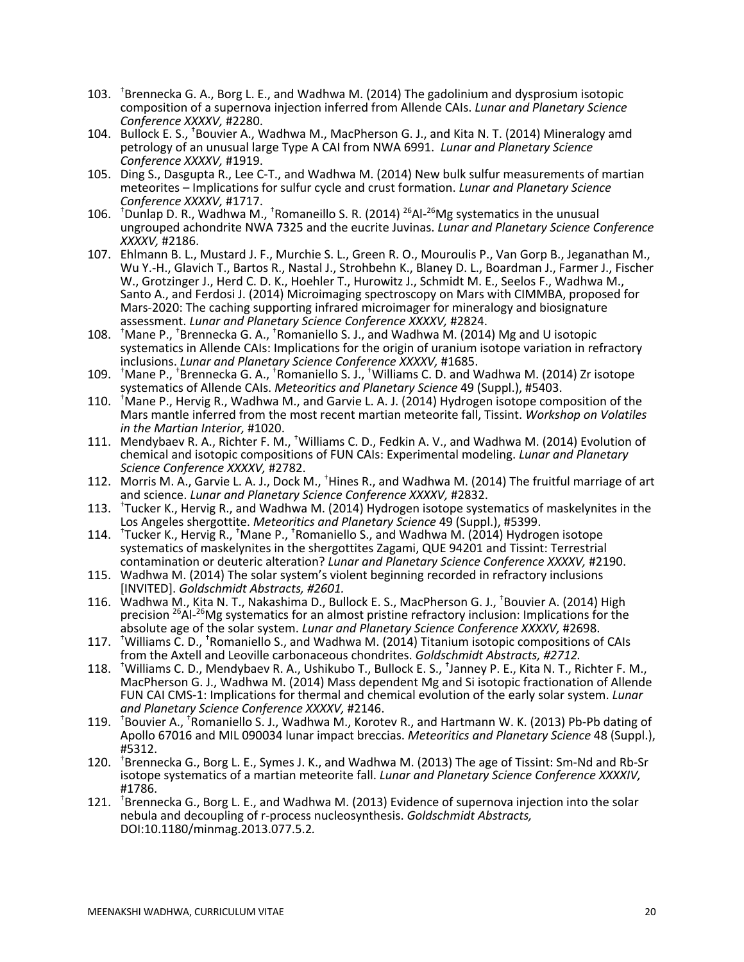- 103. † Brennecka G. A., Borg L. E., and Wadhwa M. (2014) The gadolinium and dysprosium isotopic composition of a supernova injection inferred from Allende CAIs. *Lunar and Planetary Science Conference XXXXV,* #2280.
- 104. Bullock E. S., <sup>†</sup>Bouvier A., Wadhwa M., MacPherson G. J., and Kita N. T. (2014) Mineralogy amd petrology of an unusual large Type A CAI from NWA 6991. *Lunar and Planetary Science Conference XXXXV,* #1919.
- 105. Ding S., Dasgupta R., Lee C-T., and Wadhwa M. (2014) New bulk sulfur measurements of martian meteorites – Implications for sulfur cycle and crust formation. *Lunar and Planetary Science Conference XXXXV,* #1717.
- 106. <sup>+</sup>Dunlap D. R., Wadhwa M., <sup>+</sup>Romaneillo S. R. (2014) <sup>26</sup>Al-<sup>26</sup>Mg systematics in the unusual ungrouped achondrite NWA 7325 and the eucrite Juvinas. *Lunar and Planetary Science Conference XXXXV,* #2186.
- 107. Ehlmann B. L., Mustard J. F., Murchie S. L., Green R. O., Mouroulis P., Van Gorp B., Jeganathan M., Wu Y.-H., Glavich T., Bartos R., Nastal J., Strohbehn K., Blaney D. L., Boardman J., Farmer J., Fischer W., Grotzinger J., Herd C. D. K., Hoehler T., Hurowitz J., Schmidt M. E., Seelos F., Wadhwa M., Santo A., and Ferdosi J. (2014) Microimaging spectroscopy on Mars with CIMMBA, proposed for Mars-2020: The caching supporting infrared microimager for mineralogy and biosignature assessment. *Lunar and Planetary Science Conference XXXXV,* #2824.
- 108. <sup>+</sup>Mane P., <sup>+</sup>Brennecka G. A., <sup>+</sup>Romaniello S. J., and Wadhwa M. (2014) Mg and U isotopic systematics in Allende CAIs: Implications for the origin of uranium isotope variation in refractory inclusions. *Lunar and Planetary Science Conference XXXXV,* #1685.
- 109. <sup>t</sup>Mane P., <sup>†</sup>Brennecka G. A., <sup>†</sup>Romaniello S. J., <sup>†</sup>Williams C. D. and Wadhwa M. (2014) Zr isotope systematics of Allende CAIs. *Meteoritics and Planetary Science* 49 (Suppl.), #5403.
- 110. † Mane P., Hervig R., Wadhwa M., and Garvie L. A. J. (2014) Hydrogen isotope composition of the Mars mantle inferred from the most recent martian meteorite fall, Tissint. *Workshop on Volatiles in the Martian Interior,* #1020.
- 111. Mendybaev R. A., Richter F. M., <sup>†</sup>Williams C. D., Fedkin A. V., and Wadhwa M. (2014) Evolution of chemical and isotopic compositions of FUN CAIs: Experimental modeling. *Lunar and Planetary*
- *Science Conference XXXXV,* #2782. 112. Morris M. A., Garvie L. A. J., Dock M., † Hines R., and Wadhwa M. (2014) The fruitful marriage of art and science. *Lunar and Planetary Science Conference XXXXV,* #2832.
- 113. † Tucker K., Hervig R., and Wadhwa M. (2014) Hydrogen isotope systematics of maskelynites in the Los Angeles shergottite. *Meteoritics and Planetary Science* 49 (Suppl.), #5399.
- 114. <sup>+</sup>Tucker K., Hervig R., <sup>+</sup>Mane P., <sup>+</sup>Romaniello S., and Wadhwa M. (2014) Hydrogen isotope systematics of maskelynites in the shergottites Zagami, QUE 94201 and Tissint: Terrestrial contamination or deuteric alteration? *Lunar and Planetary Science Conference XXXXV,* #2190.
- 115. Wadhwa M. (2014) The solar system's violent beginning recorded in refractory inclusions [INVITED]. *Goldschmidt Abstracts, #2601.*
- 116. Wadhwa M., Kita N. T., Nakashima D., Bullock E. S., MacPherson G. J., † Bouvier A. (2014) High precision <sup>26</sup>Al-<sup>26</sup>Mg systematics for an almost pristine refractory inclusion: Implications for the absolute age of the solar system. *Lunar and Planetary Science Conference XXXXV,* #2698.
- 117. † Williams C. D., † Romaniello S., and Wadhwa M. (2014) Titanium isotopic compositions of CAIs from the Axtell and Leoville carbonaceous chondrites. *Goldschmidt Abstracts, #2712.*
- 118. † Williams C. D., Mendybaev R. A., Ushikubo T., Bullock E. S., † Janney P. E., Kita N. T., Richter F. M., MacPherson G. J., Wadhwa M. (2014) Mass dependent Mg and Si isotopic fractionation of Allende FUN CAI CMS-1: Implications for thermal and chemical evolution of the early solar system. *Lunar and Planetary Science Conference XXXXV,* #2146.
- 119. <sup>+</sup>Bouvier A., <sup>†</sup>Romaniello S. J., Wadhwa M., Korotev R., and Hartmann W. K. (2013) Pb-Pb dating of Apollo 67016 and MIL 090034 lunar impact breccias. *Meteoritics and Planetary Science* 48 (Suppl.), #5312.
- 120. † Brennecka G., Borg L. E., Symes J. K., and Wadhwa M. (2013) The age of Tissint: Sm-Nd and Rb-Sr isotope systematics of a martian meteorite fall. *Lunar and Planetary Science Conference XXXXIV,*
- #1786. 121. † Brennecka G., Borg L. E., and Wadhwa M. (2013) Evidence of supernova injection into the solar nebula and decoupling of r-process nucleosynthesis. *Goldschmidt Abstracts,* DOI:10.1180/minmag.2013.077.5.2*.*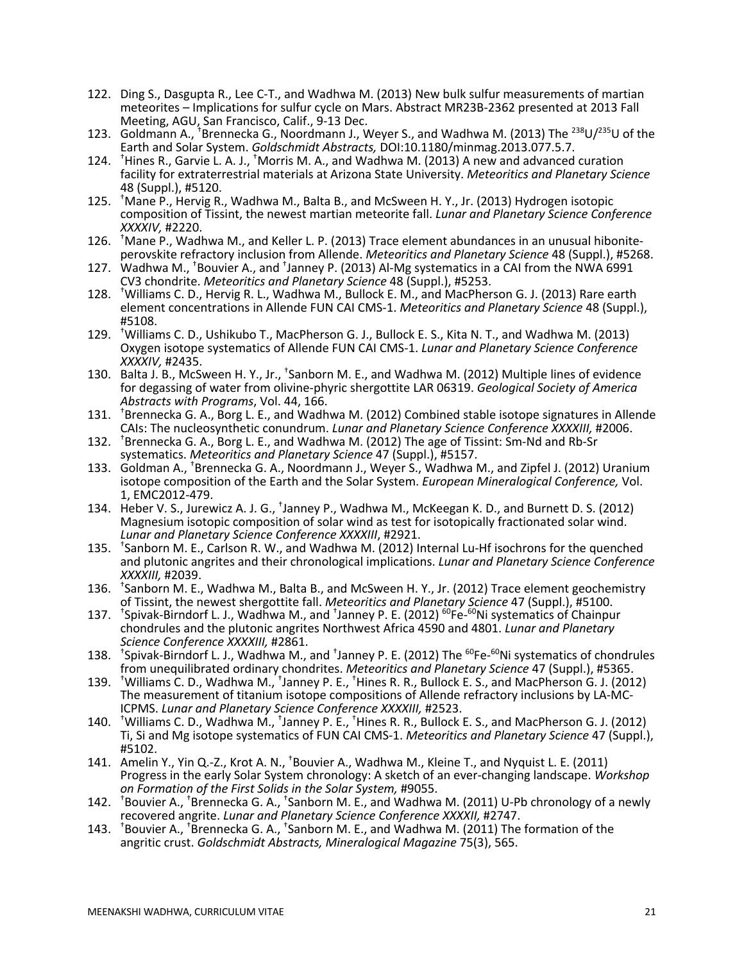- 122. Ding S., Dasgupta R., Lee C-T., and Wadhwa M. (2013) New bulk sulfur measurements of martian meteorites – Implications for sulfur cycle on Mars. Abstract MR23B-2362 presented at 2013 Fall
- Meeting, AGU, San Francisco, Calif., 9-13 Dec.<br>123. Goldmann A., <sup>†</sup>Brennecka G., Noordmann J., Weyer S., and Wadhwa M. (2013) The <sup>238</sup>U/<sup>235</sup>U of the Earth and Solar System. *Goldschmidt Abstracts,* DOI:10.1180/minmag.2013.077.5.7.
- 124. <sup>+</sup>Hines R., Garvie L. A. J., <sup>+</sup>Morris M. A., and Wadhwa M. (2013) A new and advanced curation facility for extraterrestrial materials at Arizona State University. *Meteoritics and Planetary Science* 48 (Suppl.), #5120.
- 125. † Mane P., Hervig R., Wadhwa M., Balta B., and McSween H. Y., Jr. (2013) Hydrogen isotopic composition of Tissint, the newest martian meteorite fall. *Lunar and Planetary Science Conference XXXXIV,* #2220.
- 126. Mane P., Wadhwa M., and Keller L. P. (2013) Trace element abundances in an unusual hiboniteperovskite refractory inclusion from Allende. *Meteoritics and Planetary Science* 48 (Suppl.), #5268.
- 127. Wadhwa M., <sup>†</sup>Bouvier A., and <sup>†</sup>Janney P. (2013) Al-Mg systematics in a CAI from the NWA 6991
- CV3 chondrite. *Meteoritics and Planetary Science* 48 (Suppl.), #5253. 128. † Williams C. D., Hervig R. L., Wadhwa M., Bullock E. M., and MacPherson G. J. (2013) Rare earth element concentrations in Allende FUN CAI CMS-1. *Meteoritics and Planetary Science* 48 (Suppl.), #5108.
- 129. † Williams C. D., Ushikubo T., MacPherson G. J., Bullock E. S., Kita N. T., and Wadhwa M. (2013) Oxygen isotope systematics of Allende FUN CAI CMS-1. *Lunar and Planetary Science Conference XXXXIV,* #2435.
- 130. Balta J. B., McSween H. Y., Jr., <sup>+</sup>Sanborn M. E., and Wadhwa M. (2012) Multiple lines of evidence for degassing of water from olivine-phyric shergottite LAR 06319. *Geological Society of America Abstracts with Programs*, Vol. 44, 166.
- 131. † Brennecka G. A., Borg L. E., and Wadhwa M. (2012) Combined stable isotope signatures in Allende CAIs: The nucleosynthetic conundrum. *Lunar and Planetary Science Conference XXXXIII,* #2006. 132. † Brennecka G. A., Borg L. E., and Wadhwa M. (2012) The age of Tissint: Sm-Nd and Rb-Sr
- systematics. *Meteoritics and Planetary Science* 47 (Suppl.), #5157.
- 133. Goldman A., <sup>†</sup>Brennecka G. A., Noordmann J., Weyer S., Wadhwa M., and Zipfel J. (2012) Uranium isotope composition of the Earth and the Solar System. *European Mineralogical Conference,* Vol. 1, EMC2012-479.
- 134. Heber V. S., Jurewicz A. J. G., <sup>+</sup>Janney P., Wadhwa M., McKeegan K. D., and Burnett D. S. (2012) Magnesium isotopic composition of solar wind as test for isotopically fractionated solar wind. *Lunar and Planetary Science Conference XXXXIII*, #2921.
- 135. † Sanborn M. E., Carlson R. W., and Wadhwa M. (2012) Internal Lu-Hf isochrons for the quenched and plutonic angrites and their chronological implications. *Lunar and Planetary Science Conference XXXXIII,* #2039.
- 136. † Sanborn M. E., Wadhwa M., Balta B., and McSween H. Y., Jr. (2012) Trace element geochemistry
- of Tissint, the newest shergottite fall. *Meteoritics and Planetary Science* 47 (Suppl.), #5100.<br>137. <sup>t</sup>Spivak-Birndorf L. J., Wadhwa M., and <sup>†</sup>Janney P. E. (2012) <sup>60</sup>Fe-<sup>60</sup>Ni systematics of Chainpur chondrules and the plutonic angrites Northwest Africa 4590 and 4801. *Lunar and Planetary Science Conference XXXXIII,* #2861.
- 138. <sup>+</sup>Spivak-Birndorf L. J., Wadhwa M., and <sup>+</sup>Janney P. E. (2012) The <sup>60</sup>Fe-<sup>60</sup>Ni systematics of chondrules from unequilibrated ordinary chondrites. *Meteoritics and Planetary Science* 47 (Suppl.), #5365.
- 139. <sup>†</sup>Williams C. D., Wadhwa M., <sup>†</sup>Janney P. E., <sup>†</sup>Hines R. R., Bullock E. S., and MacPherson G. J. (2012) The measurement of titanium isotope compositions of Allende refractory inclusions by LA-MC- ICPMS. *Lunar and Planetary Science Conference XXXXIII,* #2523.
- 140. <sup>+</sup>Williams C. D., Wadhwa M., <sup>+</sup>Janney P. E., <sup>+</sup>Hines R. R., Bullock E. S., and MacPherson G. J. (2012) Ti, Si and Mg isotope systematics of FUN CAI CMS-1. *Meteoritics and Planetary Science* 47 (Suppl.), #5102.
- 141. Amelin Y., Yin Q.-Z., Krot A. N., <sup>+</sup>Bouvier A., Wadhwa M., Kleine T., and Nyquist L. E. (2011) Progress in the early Solar System chronology: A sketch of an ever-changing landscape. *Workshop on Formation of the First Solids in the Solar System,* #9055.
- 142. <sup>+</sup>Bouvier A., <sup>+</sup>Brennecka G. A., <sup>+</sup>Sanborn M. E., and Wadhwa M. (2011) U-Pb chronology of a newly recovered angrite. *Lunar and Planetary Science Conference XXXXII,* #2747.
- 143. <sup>+</sup>Bouvier A., <sup>+</sup>Brennecka G. A., <sup>+</sup>Sanborn M. E., and Wadhwa M. (2011) The formation of the angritic crust. *Goldschmidt Abstracts, Mineralogical Magazine* 75(3), 565.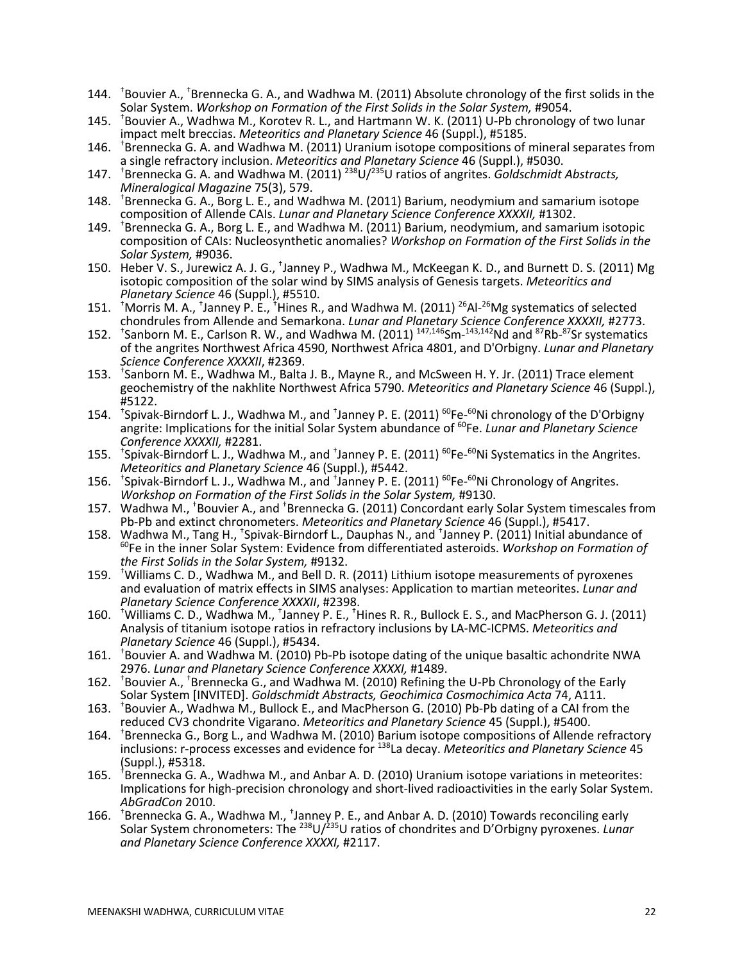- 144. <sup>+</sup>Bouvier A., <sup>+</sup>Brennecka G. A., and Wadhwa M. (2011) Absolute chronology of the first solids in the Solar System. *Workshop on Formation of the First Solids in the Solar System,* #9054.
- 145. † Bouvier A., Wadhwa M., Korotev R. L., and Hartmann W. K. (2011) U-Pb chronology of two lunar impact melt breccias. *Meteoritics and Planetary Science* 46 (Suppl.), #5185.
- 146. † Brennecka G. A. and Wadhwa M. (2011) Uranium isotope compositions of mineral separates from a single refractory inclusion. *Meteoritics and Planetary Science* 46 (Suppl.), #5030.
- 147. † Brennecka G. A. and Wadhwa M. (2011) 238 U/235 U ratios of angrites. *Goldschmidt Abstracts, Mineralogical Magazine* 75(3), 579.
- 148. † Brennecka G. A., Borg L. E., and Wadhwa M. (2011) Barium, neodymium and samarium isotope composition of Allende CAIs. *Lunar and Planetary Science Conference XXXXII,* #1302.
- 149. † Brennecka G. A., Borg L. E., and Wadhwa M. (2011) Barium, neodymium, and samarium isotopic composition of CAIs: Nucleosynthetic anomalies? *Workshop on Formation of the First Solids in the Solar System,* #9036.
- 150. Heber V. S., Jurewicz A. J. G., <sup>+</sup>Janney P., Wadhwa M., McKeegan K. D., and Burnett D. S. (2011) Mg isotopic composition of the solar wind by SIMS analysis of Genesis targets. *Meteoritics and Planetary Science* 46 (Suppl.), #5510.
- 151. <sup>†</sup>Morris M. A., <sup>†</sup>Janney P. E., <sup>†</sup>Hines R., and Wadhwa M. (2011) <sup>26</sup>Al-<sup>26</sup>Mg systematics of selected
- chondrules from Allende and Semarkona. *Lunar and Planetary Science Conference XXXXII,* #2773.<br>152. <sup>+</sup>Sanborn M. E., Carlson R. W., and Wadhwa M. (2011) <sup>147,146</sup>Sm-<sup>143,142</sup>Nd and <sup>87</sup>Rb-<sup>87</sup>Sr systematics of the angrites Northwest Africa 4590, Northwest Africa 4801, and D'Orbigny. *Lunar and Planetary Science Conference XXXXII*, #2369.
- 153. † Sanborn M. E., Wadhwa M., Balta J. B., Mayne R., and McSween H. Y. Jr. (2011) Trace element geochemistry of the nakhlite Northwest Africa 5790. *Meteoritics and Planetary Science* 46 (Suppl.), #5122.
- 154. <sup>+</sup>Spivak-Birndorf L. J., Wadhwa M., and <sup>+</sup>Janney P. E. (2011) <sup>60</sup>Fe-<sup>60</sup>Ni chronology of the D'Orbigny angrite: Implications for the initial Solar System abundance of 60Fe. *Lunar and Planetary Science Conference XXXXII,* #2281.
- 155. <sup>t</sup>Spivak-Birndorf L. J., Wadhwa M., and <sup>t</sup>Janney P. E. (2011) <sup>60</sup>Fe-<sup>60</sup>Ni Systematics in the Angrites. *Meteoritics and Planetary Science* 46 (Suppl.), #5442.
- 156. <sup>+</sup>Spivak-Birndorf L. J., Wadhwa M., and <sup>+</sup>Janney P. E. (2011) <sup>60</sup>Fe-<sup>60</sup>Ni Chronology of Angrites. *Workshop on Formation of the First Solids in the Solar System,* #9130.
- 157. Wadhwa M., <sup>†</sup>Bouvier A., and <sup>†</sup>Brennecka G. (2011) Concordant early Solar System timescales from Pb-Pb and extinct chronometers. *Meteoritics and Planetary Science* 46 (Suppl.), #5417.
- 158. Wadhwa M., Tang H., <sup>+</sup>Spivak-Birndorf L., Dauphas N., and <sup>+</sup>Janney P. (2011) Initial abundance of 60Fe in the inner Solar System: Evidence from differentiated asteroids. *Workshop on Formation of the First Solids in the Solar System,* #9132.
- 159. † Williams C. D., Wadhwa M., and Bell D. R. (2011) Lithium isotope measurements of pyroxenes and evaluation of matrix effects in SIMS analyses: Application to martian meteorites. *Lunar and Planetary Science Conference XXXXII*, #2398.
- 160. Twilliams C. D., Wadhwa M., Tanney P. E., Thines R. R., Bullock E. S., and MacPherson G. J. (2011) Analysis of titanium isotope ratios in refractory inclusions by LA-MC-ICPMS. *Meteoritics and Planetary Science* 46 (Suppl.), #5434.
- 161. † Bouvier A. and Wadhwa M. (2010) Pb-Pb isotope dating of the unique basaltic achondrite NWA 2976. *Lunar and Planetary Science Conference XXXXI,* #1489.
- 162. <sup>+</sup>Bouvier A., <sup>+</sup>Brennecka G., and Wadhwa M. (2010) Refining the U-Pb Chronology of the Early Solar System [INVITED]. *Goldschmidt Abstracts, Geochimica Cosmochimica Acta* 74, A111.
- 163. † Bouvier A., Wadhwa M., Bullock E., and MacPherson G. (2010) Pb-Pb dating of a CAI from the reduced CV3 chondrite Vigarano. *Meteoritics and Planetary Science* 45 (Suppl.), #5400.
- 164. † Brennecka G., Borg L., and Wadhwa M. (2010) Barium isotope compositions of Allende refractory inclusions: r-process excesses and evidence for 138La decay. *Meteoritics and Planetary Science* 45 (Suppl.), #5318.
- 165. † Brennecka G. A., Wadhwa M., and Anbar A. D. (2010) Uranium isotope variations in meteorites: Implications for high-precision chronology and short-lived radioactivities in the early Solar System. *AbGradCon* 2010.
- 166. <sup>+</sup>Brennecka G. A., Wadhwa M., <sup>+</sup>Janney P. E., and Anbar A. D. (2010) Towards reconciling early Solar System chronometers: The 238U/235U ratios of chondrites and D'Orbigny pyroxenes. *Lunar and Planetary Science Conference XXXXI,* #2117.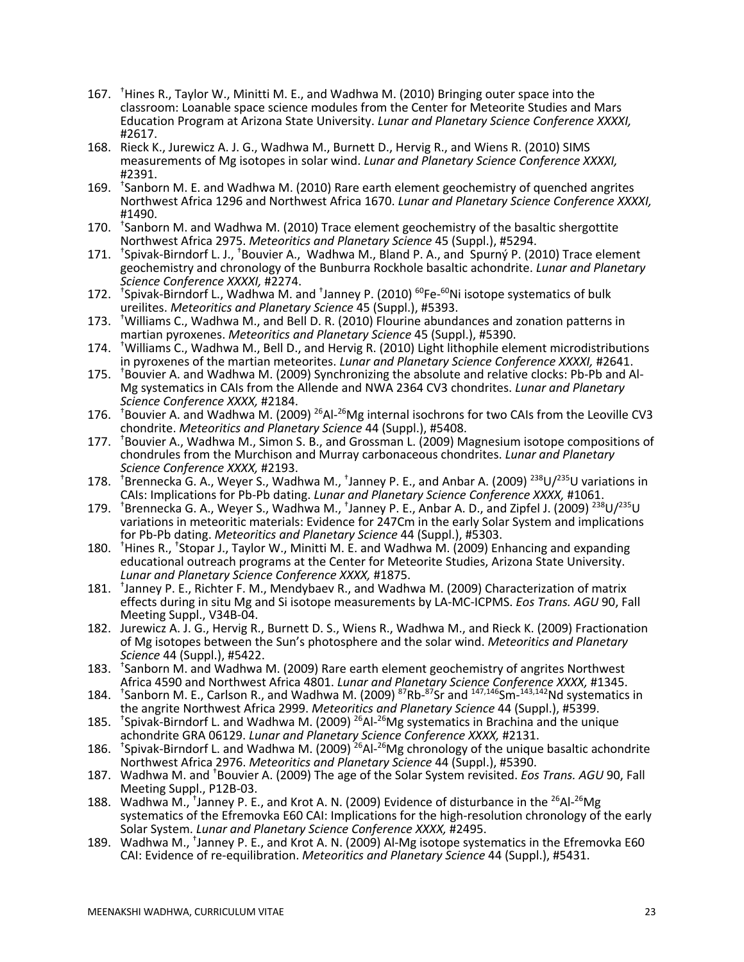- 167. <sup>†</sup>Hines R., Taylor W., Minitti M. E., and Wadhwa M. (2010) Bringing outer space into the classroom: Loanable space science modules from the Center for Meteorite Studies and Mars Education Program at Arizona State University. *Lunar and Planetary Science Conference XXXXI,* #2617.
- 168. Rieck K., Jurewicz A. J. G., Wadhwa M., Burnett D., Hervig R., and Wiens R. (2010) SIMS measurements of Mg isotopes in solar wind. *Lunar and Planetary Science Conference XXXXI,*
- #2391. 169. † Sanborn M. E. and Wadhwa M. (2010) Rare earth element geochemistry of quenched angrites Northwest Africa 1296 and Northwest Africa 1670. *Lunar and Planetary Science Conference XXXXI,* #1490.
- 170. <sup>+</sup>Sanborn M. and Wadhwa M. (2010) Trace element geochemistry of the basaltic shergottite Northwest Africa 2975. *Meteoritics and Planetary Science* 45 (Suppl.), #5294.
- 171. <sup>t</sup>Spivak-Birndorf L. J., <sup>t</sup>Bouvier A., Wadhwa M., Bland P. A., and Spurný P. (2010) Trace element geochemistry and chronology of the Bunburra Rockhole basaltic achondrite. *Lunar and Planetary Science Conference XXXXI,* #2274.
- 172. <sup>+</sup>Spivak-Birndorf L., Wadhwa M. and <sup>+</sup>Janney P. (2010) <sup>60</sup>Fe-<sup>60</sup>Ni isotope systematics of bulk ureilites. *Meteoritics and Planetary Science* 45 (Suppl.), #5393.
- 173. <sup>+</sup>Williams C., Wadhwa M., and Bell D. R. (2010) Flourine abundances and zonation patterns in martian pyroxenes. *Meteoritics and Planetary Science* 45 (Suppl.), #5390.
- 174. † Williams C., Wadhwa M., Bell D., and Hervig R. (2010) Light lithophile element microdistributions in pyroxenes of the martian meteorites. *Lunar and Planetary Science Conference XXXXI,* #2641.
- 175. <sup>+</sup>Bouvier A. and Wadhwa M. (2009) Synchronizing the absolute and relative clocks: Pb-Pb and Al-Mg systematics in CAIs from the Allende and NWA 2364 CV3 chondrites. *Lunar and Planetary Science Conference XXXX,* #2184.
- 176. <sup>+</sup>Bouvier A. and Wadhwa M. (2009) <sup>26</sup>Al-<sup>26</sup>Mg internal isochrons for two CAIs from the Leoville CV3 chondrite. *Meteoritics and Planetary Science* 44 (Suppl.), #5408.
- 177. † Bouvier A., Wadhwa M., Simon S. B., and Grossman L. (2009) Magnesium isotope compositions of chondrules from the Murchison and Murray carbonaceous chondrites. *Lunar and Planetary Science Conference XXXX,* #2193.
- 178. <sup>+</sup>Brennecka G. A., Weyer S., Wadhwa M., <sup>+</sup>Janney P. E., and Anbar A. (2009) <sup>238</sup>U/<sup>235</sup>U variations in CAIs: Implications for Pb-Pb dating. *Lunar and Planetary Science Conference XXXX,* #1061.
- 179. <sup>+</sup>Brennecka G. A., Weyer S., Wadhwa M., <sup>+</sup>Janney P. E., Anbar A. D., and Zipfel J. (2009) <sup>238</sup>U/<sup>235</sup>U variations in meteoritic materials: Evidence for 247Cm in the early Solar System and implications for Pb-Pb dating. *Meteoritics and Planetary Science* 44 (Suppl.), #5303.
- 180. <sup>†</sup> Hines R., <sup>†</sup> Stopar J., Taylor W., Minitti M. E. and Wadhwa M. (2009) Enhancing and expanding educational outreach programs at the Center for Meteorite Studies, Arizona State University. *Lunar and Planetary Science Conference XXXX,* #1875.
- 181. † Janney P. E., Richter F. M., Mendybaev R., and Wadhwa M. (2009) Characterization of matrix effects during in situ Mg and Si isotope measurements by LA-MC-ICPMS. *Eos Trans. AGU* 90, Fall Meeting Suppl., V34B-04.
- 182. Jurewicz A. J. G., Hervig R., Burnett D. S., Wiens R., Wadhwa M., and Rieck K. (2009) Fractionation of Mg isotopes between the Sun's photosphere and the solar wind. *Meteoritics and Planetary Science* 44 (Suppl.), #5422.
- 183. † Sanborn M. and Wadhwa M. (2009) Rare earth element geochemistry of angrites Northwest Africa 4590 and Northwest Africa 4801. *Lunar and Planetary Science Conference XXXX,* #1345.
- 184. <sup>t</sup>Sanborn M. E., Carlson R., and Wadhwa M. (2009) <sup>87</sup>Rb-<sup>87</sup>Sr and <sup>147,146</sup>Sm-<sup>143,142</sup>Nd systematics in the angrite Northwest Africa 2999. *Meteoritics and Planetary Science* 44 (Suppl.), #5399.
- 185. <sup>+</sup>Spivak-Birndorf L. and Wadhwa M. (2009) <sup>26</sup>Al-<sup>26</sup>Mg systematics in Brachina and the unique achondrite GRA 06129. *Lunar and Planetary Science Conference XXXX,* #2131.
- 186. <sup>+</sup>Spivak-Birndorf L. and Wadhwa M. (2009)<sup>26</sup>Al-<sup>26</sup>Mg chronology of the unique basaltic achondrite Northwest Africa 2976. *Meteoritics and Planetary Science* 44 (Suppl.), #5390.
- 187. Wadhwa M. and † Bouvier A. (2009) The age of the Solar System revisited. *Eos Trans. AGU* 90, Fall
- Meeting Suppl., P12B-03.<br>188. Wadhwa M., <sup>†</sup>Janney P. E., and Krot A. N. (2009) Evidence of disturbance in the <sup>26</sup>Al-<sup>26</sup>Mg systematics of the Efremovka E60 CAI: Implications for the high-resolution chronology of the early Solar System. *Lunar and Planetary Science Conference XXXX,* #2495.
- 189. Wadhwa M., † Janney P. E., and Krot A. N. (2009) Al-Mg isotope systematics in the Efremovka E60 CAI: Evidence of re-equilibration. *Meteoritics and Planetary Science* 44 (Suppl.), #5431.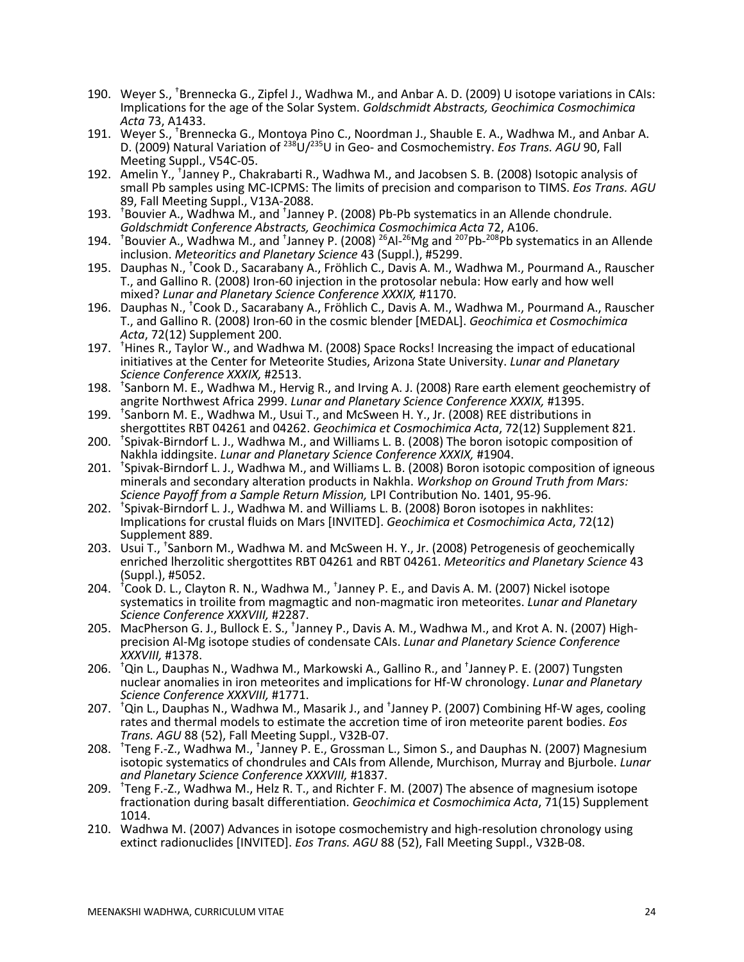- 190. Weyer S., † Brennecka G., Zipfel J., Wadhwa M., and Anbar A. D. (2009) U isotope variations in CAIs: Implications for the age of the Solar System. *Goldschmidt Abstracts, Geochimica Cosmochimica Acta* 73, A1433.
- 191. Weyer S., <sup>†</sup>Brennecka G., Montoya Pino C., Noordman J., Shauble E. A., Wadhwa M., and Anbar A. D. (2009) Natural Variation of <sup>238</sup>U/<sup>235</sup>U in Geo- and Cosmochemistry. *Eos Trans. AGU* 90, Fall Meeting Suppl., V54C-05.
- 192. Amelin Y., † Janney P., Chakrabarti R., Wadhwa M., and Jacobsen S. B. (2008) Isotopic analysis of small Pb samples using MC-ICPMS: The limits of precision and comparison to TIMS. *Eos Trans. AGU*
- 89, Fall Meeting Suppl., V13A-2088.<br>193. <sup>+</sup>Bouvier A., Wadhwa M., and <sup>+</sup>Janney P. (2008) Pb-Pb systematics in an Allende chondrule.<br>6*oldschmidt Conference Abstracts, Geochimica Cosmochimica Acta 72, A106*.
- 194. <sup>+</sup>Bouvier A., Wadhwa M., and <sup>+</sup>Janney P. (2008) <sup>26</sup>Al-<sup>26</sup>Mg and <sup>207</sup>Pb-<sup>208</sup>Pb systematics in an Allende inclusion. *Meteoritics and Planetary Science* 43 (Suppl.), #5299.
- 195. Dauphas N., † Cook D., Sacarabany A., Fröhlich C., Davis A. M., Wadhwa M., Pourmand A., Rauscher T., and Gallino R. (2008) Iron-60 injection in the protosolar nebula: How early and how well mixed? *Lunar and Planetary Science Conference XXXIX,* #1170.
- 196. Dauphas N., <sup>†</sup>Cook D., Sacarabany A., Fröhlich C., Davis A. M., Wadhwa M., Pourmand A., Rauscher T., and Gallino R. (2008) Iron-60 in the cosmic blender [MEDAL]. *Geochimica et Cosmochimica Acta*, 72(12) Supplement 200.
- 197. † Hines R., Taylor W., and Wadhwa M. (2008) Space Rocks! Increasing the impact of educational initiatives at the Center for Meteorite Studies, Arizona State University. *Lunar and Planetary Science Conference XXXIX,* #2513.
- 198. † Sanborn M. E., Wadhwa M., Hervig R., and Irving A. J. (2008) Rare earth element geochemistry of angrite Northwest Africa 2999. *Lunar and Planetary Science Conference XXXIX,* #1395.
- 199. † Sanborn M. E., Wadhwa M., Usui T., and McSween H. Y., Jr. (2008) REE distributions in shergottites RBT 04261 and 04262. *Geochimica et Cosmochimica Acta*, 72(12) Supplement 821.
- 200. † Spivak-Birndorf L. J., Wadhwa M., and Williams L. B. (2008) The boron isotopic composition of Nakhla iddingsite. *Lunar and Planetary Science Conference XXXIX,* #1904.
- 201. † Spivak-Birndorf L. J., Wadhwa M., and Williams L. B. (2008) Boron isotopic composition of igneous minerals and secondary alteration products in Nakhla. *Workshop on Ground Truth from Mars: Science Payoff from a Sample Return Mission,* LPI Contribution No. 1401, 95-96.
- 202. † Spivak-Birndorf L. J., Wadhwa M. and Williams L. B. (2008) Boron isotopes in nakhlites: Implications for crustal fluids on Mars [INVITED]. *Geochimica et Cosmochimica Acta*, 72(12) Supplement 889.
- 203. Usui T., <sup>†</sup>Sanborn M., Wadhwa M. and McSween H. Y., Jr. (2008) Petrogenesis of geochemically enriched lherzolitic shergottites RBT 04261 and RBT 04261. *Meteoritics and Planetary Science* 43 (Suppl.), #5052.
- 204. <sup>+</sup>Cook D. L., Clayton R. N., Wadhwa M., <sup>+</sup>Janney P. E., and Davis A. M. (2007) Nickel isotope systematics in troilite from magmagtic and non-magmatic iron meteorites. *Lunar and Planetary Science Conference XXXVIII,* #2287.
- 205. MacPherson G. J., Bullock E. S., <sup>+</sup>Janney P., Davis A. M., Wadhwa M., and Krot A. N. (2007) Highprecision Al-Mg isotope studies of condensate CAIs. *Lunar and Planetary Science Conference XXXVIII,* #1378.
- 206. † Qin L., Dauphas N., Wadhwa M., Markowski A., Gallino R., and † Janney P. E. (2007) Tungsten nuclear anomalies in iron meteorites and implications for Hf-W chronology. *Lunar and Planetary Science Conference XXXVIII,* #1771.
- 207. † Qin L., Dauphas N., Wadhwa M., Masarik J., and † Janney P. (2007) Combining Hf-W ages, cooling rates and thermal models to estimate the accretion time of iron meteorite parent bodies. *Eos Trans. AGU* 88 (52), Fall Meeting Suppl., V32B-07.
- 208. <sup>+</sup>Teng F.-Z., Wadhwa M., <sup>+</sup>Janney P. E., Grossman L., Simon S., and Dauphas N. (2007) Magnesium isotopic systematics of chondrules and CAIs from Allende, Murchison, Murray and Bjurbole. *Lunar and Planetary Science Conference XXXVIII,* #1837.
- 209. † Teng F.-Z., Wadhwa M., Helz R. T., and Richter F. M. (2007) The absence of magnesium isotope fractionation during basalt differentiation. *Geochimica et Cosmochimica Acta*, 71(15) Supplement 1014.
- 210. Wadhwa M. (2007) Advances in isotope cosmochemistry and high-resolution chronology using extinct radionuclides [INVITED]. *Eos Trans. AGU* 88 (52), Fall Meeting Suppl., V32B-08.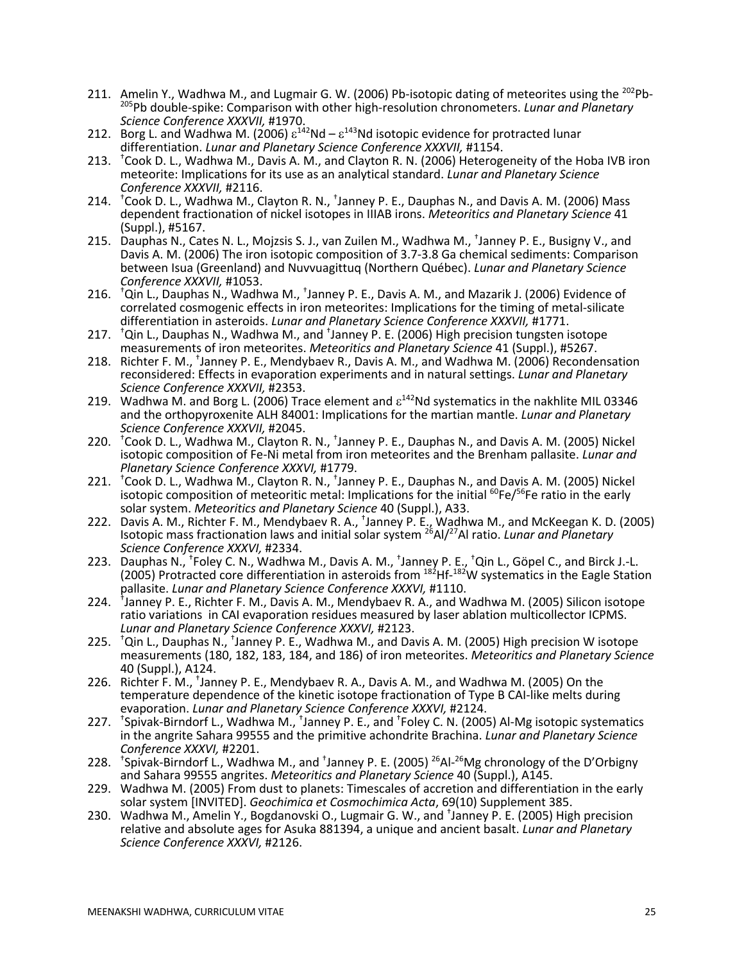- 211. Amelin Y., Wadhwa M., and Lugmair G. W. (2006) Pb-isotopic dating of meteorites using the 202Pb- 205Pb double-spike: Comparison with other high-resolution chronometers. *Lunar and Planetary Science Conference XXXVII,* #1970.
- 212. Borg L. and Wadhwa M. (2006)  $\varepsilon^{142}$ Nd  $\varepsilon^{143}$ Nd isotopic evidence for protracted lunar differentiation. *Lunar and Planetary Science Conference XXXVII,* #1154.
- 213. † Cook D. L., Wadhwa M., Davis A. M., and Clayton R. N. (2006) Heterogeneity of the Hoba IVB iron meteorite: Implications for its use as an analytical standard. *Lunar and Planetary Science Conference XXXVII,* #2116.
- 214. <sup>+</sup>Cook D. L., Wadhwa M., Clayton R. N., <sup>+</sup>Janney P. E., Dauphas N., and Davis A. M. (2006) Mass dependent fractionation of nickel isotopes in IIIAB irons. *Meteoritics and Planetary Science* 41 (Suppl.), #5167.
- 215. Dauphas N., Cates N. L., Mojzsis S. J., van Zuilen M., Wadhwa M., † Janney P. E., Busigny V., and Davis A. M. (2006) The iron isotopic composition of 3.7-3.8 Ga chemical sediments: Comparison between Isua (Greenland) and Nuvvuagittuq (Northern Québec). *Lunar and Planetary Science Conference XXXVII,* #1053.
- 216. <sup>+</sup>Qin L., Dauphas N., Wadhwa M., <sup>+</sup>Janney P. E., Davis A. M., and Mazarik J. (2006) Evidence of correlated cosmogenic effects in iron meteorites: Implications for the timing of metal-silicate differentiation in asteroids. *Lunar and Planetary Science Conference XXXVII,* #1771.
- 217. <sup>t</sup>Qin L., Dauphas N., Wadhwa M., and <sup>+</sup>Janney P. E. (2006) High precision tungsten isotope measurements of iron meteorites. *Meteoritics and Planetary Science* 41 (Suppl.), #5267.
- 218. Richter F. M., <sup>+</sup>Janney P. E., Mendybaev R., Davis A. M., and Wadhwa M. (2006) Recondensation reconsidered: Effects in evaporation experiments and in natural settings. *Lunar and Planetary Science Conference XXXVII,* #2353.
- 219. Wadhwa M. and Borg L. (2006) Trace element and  $\varepsilon^{142}$ Nd systematics in the nakhlite MIL 03346 and the orthopyroxenite ALH 84001: Implications for the martian mantle. *Lunar and Planetary Science Conference XXXVII,* #2045.
- 220. <sup>+</sup>Cook D. L., Wadhwa M., Clayton R. N., <sup>+</sup>Janney P. E., Dauphas N., and Davis A. M. (2005) Nickel isotopic composition of Fe-Ni metal from iron meteorites and the Brenham pallasite. *Lunar and Planetary Science Conference XXXVI,* #1779.
- 221. <sup>t</sup>Cook D. L., Wadhwa M., Clayton R. N., <sup>t</sup>Janney P. E., Dauphas N., and Davis A. M. (2005) Nickel isotopic composition of meteoritic metal: Implications for the initial  ${}^{60}$ Fe/<sup>56</sup>Fe ratio in the early solar system. *Meteoritics and Planetary Science* 40 (Suppl.), A33.
- 222. Davis A. M., Richter F. M., Mendybaev R. A., † Janney P. E., Wadhwa M., and McKeegan K. D. (2005) Isotopic mass fractionation laws and initial solar system <sup>26</sup> Al/27Al ratio. *Lunar and Planetary Science Conference XXXVI,* #2334.
- 223. Dauphas N., <sup>†</sup>Foley C. N., Wadhwa M., Davis A. M., <sup>†</sup>Janney P. E., <sup>†</sup>Qin L., Göpel C., and Birck J.-L. (2005) Protracted core differentiation in asteroids from  $^{182}$ Hf- $^{182}$ W systematics in the Eagle Station pallasite. *Lunar and Planetary Science Conference XXXVI,* #1110.
- 224. <sup>+</sup>Janney P. E., Richter F. M., Davis A. M., Mendybaev R. A., and Wadhwa M. (2005) Silicon isotope ratio variations in CAI evaporation residues measured by laser ablation multicollector ICPMS. *Lunar and Planetary Science Conference XXXVI,* #2123.
- 225. <sup>+</sup>Qin L., Dauphas N., <sup>+</sup>Janney P. E., Wadhwa M., and Davis A. M. (2005) High precision W isotope measurements (180, 182, 183, 184, and 186) of iron meteorites. *Meteoritics and Planetary Science* 40 (Suppl.), A124.
- 226. Richter F. M., <sup>+</sup>Janney P. E., Mendybaev R. A., Davis A. M., and Wadhwa M. (2005) On the temperature dependence of the kinetic isotope fractionation of Type B CAI-like melts during evaporation. *Lunar and Planetary Science Conference XXXVI,* #2124.
- 227. <sup>+</sup>Spivak-Birndorf L., Wadhwa M., <sup>+</sup>Janney P. E., and <sup>+</sup>Foley C. N. (2005) Al-Mg isotopic systematics in the angrite Sahara 99555 and the primitive achondrite Brachina. *Lunar and Planetary Science Conference XXXVI,* #2201.
- 228. <sup>+</sup>Spivak-Birndorf L., Wadhwa M., and <sup>+</sup>Janney P. E. (2005) <sup>26</sup>Al-<sup>26</sup>Mg chronology of the D'Orbigny and Sahara 99555 angrites. *Meteoritics and Planetary Science* 40 (Suppl.), A145.
- 229. Wadhwa M. (2005) From dust to planets: Timescales of accretion and differentiation in the early solar system [INVITED]. *Geochimica et Cosmochimica Acta*, 69(10) Supplement 385.
- 230. Wadhwa M., Amelin Y., Bogdanovski O., Lugmair G. W., and † Janney P. E. (2005) High precision relative and absolute ages for Asuka 881394, a unique and ancient basalt. *Lunar and Planetary Science Conference XXXVI,* #2126.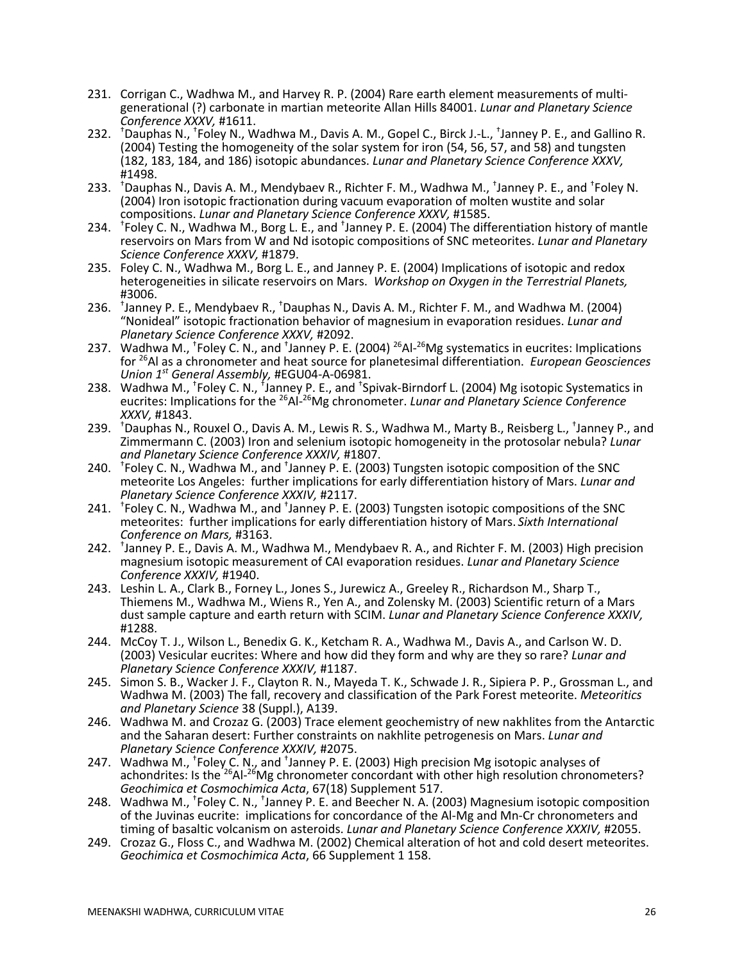- 231. Corrigan C., Wadhwa M., and Harvey R. P. (2004) Rare earth element measurements of multi- generational (?) carbonate in martian meteorite Allan Hills 84001. *Lunar and Planetary Science Conference XXXV,* #1611.
- 232. <sup>+</sup>Dauphas N., <sup>+</sup>Foley N., Wadhwa M., Davis A. M., Gopel C., Birck J.-L., <sup>+</sup>Janney P. E., and Gallino R. (2004) Testing the homogeneity of the solar system for iron (54, 56, 57, and 58) and tungsten (182, 183, 184, and 186) isotopic abundances. *Lunar and Planetary Science Conference XXXV,* #1498.
- 233. <sup>+</sup>Dauphas N., Davis A. M., Mendybaev R., Richter F. M., Wadhwa M., <sup>+</sup>Janney P. E., and <sup>+</sup>Foley N. (2004) Iron isotopic fractionation during vacuum evaporation of molten wustite and solar compositions. *Lunar and Planetary Science Conference XXXV,* #1585.
- 234. <sup>†</sup>Foley C. N., Wadhwa M., Borg L. E., and <sup>†</sup>Janney P. E. (2004) The differentiation history of mantle reservoirs on Mars from W and Nd isotopic compositions of SNC meteorites. *Lunar and Planetary Science Conference XXXV,* #1879.
- 235. Foley C. N., Wadhwa M., Borg L. E., and Janney P. E. (2004) Implications of isotopic and redox heterogeneities in silicate reservoirs on Mars. *Workshop on Oxygen in the Terrestrial Planets,*
- #3006. 236. † Janney P. E., Mendybaev R., † Dauphas N., Davis A. M., Richter F. M., and Wadhwa M. (2004) "Nonideal" isotopic fractionation behavior of magnesium in evaporation residues. *Lunar and Planetary Science Conference XXXV,* #2092.
- 237. Wadhwa M., <sup>†</sup>Foley C. N., and <sup>†</sup>Janney P. E. (2004) <sup>26</sup>Al-<sup>26</sup>Mg systematics in eucrites: Implications for 26Al as a chronometer and heat source for planetesimal differentiation. *European Geosciences Union 1st General Assembly,* #EGU04-A-06981.
- 238. Wadhwa M., <sup>†</sup>Foley C. N., <sup>†</sup>Janney P. E., and <sup>†</sup>Spivak-Birndorf L. (2004) Mg isotopic Systematics in eucrites: Implications for the <sup>26</sup>Al-<sup>26</sup>Mg chronometer. *Lunar and Planetary Science Conference XXXV,* #1843.
- 239. † Dauphas N., Rouxel O., Davis A. M., Lewis R. S., Wadhwa M., Marty B., Reisberg L., † Janney P., and Zimmermann C. (2003) Iron and selenium isotopic homogeneity in the protosolar nebula? *Lunar and Planetary Science Conference XXXIV,* #1807.
- 240. <sup>+</sup>Foley C. N., Wadhwa M., and <sup>+</sup>Janney P. E. (2003) Tungsten isotopic composition of the SNC meteorite Los Angeles: further implications for early differentiation history of Mars. *Lunar and Planetary Science Conference XXXIV,* #2117.
- 241. <sup>+</sup>Foley C. N., Wadhwa M., and <sup>+</sup>Janney P. E. (2003) Tungsten isotopic compositions of the SNC meteorites: further implications for early differentiation history of Mars. *Sixth International Conference on Mars,* #3163.
- 242. † Janney P. E., Davis A. M., Wadhwa M., Mendybaev R. A., and Richter F. M. (2003) High precision magnesium isotopic measurement of CAI evaporation residues. *Lunar and Planetary Science Conference XXXIV,* #1940.
- 243. Leshin L. A., Clark B., Forney L., Jones S., Jurewicz A., Greeley R., Richardson M., Sharp T., Thiemens M., Wadhwa M., Wiens R., Yen A., and Zolensky M. (2003) Scientific return of a Mars dust sample capture and earth return with SCIM. *Lunar and Planetary Science Conference XXXIV,* #1288.
- 244. McCoy T. J., Wilson L., Benedix G. K., Ketcham R. A., Wadhwa M., Davis A., and Carlson W. D. (2003) Vesicular eucrites: Where and how did they form and why are they so rare? *Lunar and Planetary Science Conference XXXIV,* #1187.
- 245. Simon S. B., Wacker J. F., Clayton R. N., Mayeda T. K., Schwade J. R., Sipiera P. P., Grossman L., and Wadhwa M. (2003) The fall, recovery and classification of the Park Forest meteorite. *Meteoritics and Planetary Science* 38 (Suppl.), A139.
- 246. Wadhwa M. and Crozaz G. (2003) Trace element geochemistry of new nakhlites from the Antarctic and the Saharan desert: Further constraints on nakhlite petrogenesis on Mars. *Lunar and Planetary Science Conference XXXIV,* #2075.
- 247. Wadhwa M., <sup>†</sup>Foley C. N., and <sup>†</sup>Janney P. E. (2003) High precision Mg isotopic analyses of achondrites: Is the <sup>26</sup>Al-<sup>26</sup>Mg chronometer concordant with other high resolution chronometers? *Geochimica et Cosmochimica Acta*, 67(18) Supplement 517.
- 248. Wadhwa M., <sup>†</sup>Foley C. N., <sup>†</sup>Janney P. E. and Beecher N. A. (2003) Magnesium isotopic composition of the Juvinas eucrite: implications for concordance of the Al-Mg and Mn-Cr chronometers and timing of basaltic volcanism on asteroids. *Lunar and Planetary Science Conference XXXIV,* #2055.
- 249. Crozaz G., Floss C., and Wadhwa M. (2002) Chemical alteration of hot and cold desert meteorites. *Geochimica et Cosmochimica Acta*, 66 Supplement 1 158.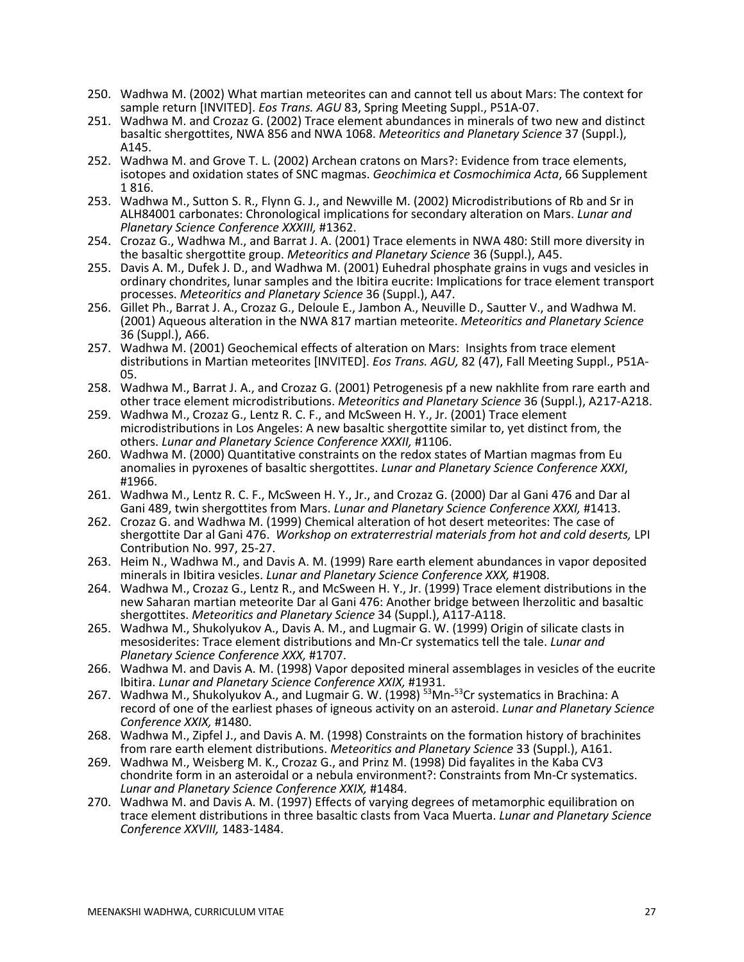- 250. Wadhwa M. (2002) What martian meteorites can and cannot tell us about Mars: The context for sample return [INVITED]. *Eos Trans. AGU* 83, Spring Meeting Suppl., P51A-07.
- 251. Wadhwa M. and Crozaz G. (2002) Trace element abundances in minerals of two new and distinct basaltic shergottites, NWA 856 and NWA 1068. *Meteoritics and Planetary Science* 37 (Suppl.), A145.
- 252. Wadhwa M. and Grove T. L. (2002) Archean cratons on Mars?: Evidence from trace elements, isotopes and oxidation states of SNC magmas. *Geochimica et Cosmochimica Acta*, 66 Supplement 1 816.
- 253. Wadhwa M., Sutton S. R., Flynn G. J., and Newville M. (2002) Microdistributions of Rb and Sr in ALH84001 carbonates: Chronological implications for secondary alteration on Mars. *Lunar and Planetary Science Conference XXXIII,* #1362.
- 254. Crozaz G., Wadhwa M., and Barrat J. A. (2001) Trace elements in NWA 480: Still more diversity in the basaltic shergottite group. *Meteoritics and Planetary Science* 36 (Suppl.), A45.
- 255. Davis A. M., Dufek J. D., and Wadhwa M. (2001) Euhedral phosphate grains in vugs and vesicles in ordinary chondrites, lunar samples and the Ibitira eucrite: Implications for trace element transport processes. *Meteoritics and Planetary Science* 36 (Suppl.), A47.
- 256. Gillet Ph., Barrat J. A., Crozaz G., Deloule E., Jambon A., Neuville D., Sautter V., and Wadhwa M. (2001) Aqueous alteration in the NWA 817 martian meteorite. *Meteoritics and Planetary Science* 36 (Suppl.), A66.
- 257. Wadhwa M. (2001) Geochemical effects of alteration on Mars: Insights from trace element distributions in Martian meteorites [INVITED]. *Eos Trans. AGU,* 82 (47), Fall Meeting Suppl., P51A- 05.
- 258. Wadhwa M., Barrat J. A., and Crozaz G. (2001) Petrogenesis pf a new nakhlite from rare earth and other trace element microdistributions. *Meteoritics and Planetary Science* 36 (Suppl.), A217-A218.
- 259. Wadhwa M., Crozaz G., Lentz R. C. F., and McSween H. Y., Jr. (2001) Trace element microdistributions in Los Angeles: A new basaltic shergottite similar to, yet distinct from, the others. *Lunar and Planetary Science Conference XXXII,* #1106.
- 260. Wadhwa M. (2000) Quantitative constraints on the redox states of Martian magmas from Eu anomalies in pyroxenes of basaltic shergottites. *Lunar and Planetary Science Conference XXXI*, #1966.
- 261. Wadhwa M., Lentz R. C. F., McSween H. Y., Jr., and Crozaz G. (2000) Dar al Gani 476 and Dar al Gani 489, twin shergottites from Mars. *Lunar and Planetary Science Conference XXXI,* #1413.
- 262. Crozaz G. and Wadhwa M. (1999) Chemical alteration of hot desert meteorites: The case of shergottite Dar al Gani 476. *Workshop on extraterrestrial materials from hot and cold deserts,* LPI Contribution No. 997, 25-27.
- 263. Heim N., Wadhwa M., and Davis A. M. (1999) Rare earth element abundances in vapor deposited minerals in Ibitira vesicles. *Lunar and Planetary Science Conference XXX,* #1908.
- 264. Wadhwa M., Crozaz G., Lentz R., and McSween H. Y., Jr. (1999) Trace element distributions in the new Saharan martian meteorite Dar al Gani 476: Another bridge between lherzolitic and basaltic shergottites. *Meteoritics and Planetary Science* 34 (Suppl.), A117-A118.
- 265. Wadhwa M., Shukolyukov A., Davis A. M., and Lugmair G. W. (1999) Origin of silicate clasts in mesosiderites: Trace element distributions and Mn-Cr systematics tell the tale. *Lunar and Planetary Science Conference XXX,* #1707.
- 266. Wadhwa M. and Davis A. M. (1998) Vapor deposited mineral assemblages in vesicles of the eucrite Ibitira. *Lunar and Planetary Science Conference XXIX,* #1931.
- 267. Wadhwa M., Shukolyukov A., and Lugmair G. W. (1998) <sup>53</sup>Mn-<sup>53</sup>Cr systematics in Brachina: A record of one of the earliest phases of igneous activity on an asteroid. *Lunar and Planetary Science Conference XXIX,* #1480.
- 268. Wadhwa M., Zipfel J., and Davis A. M. (1998) Constraints on the formation history of brachinites from rare earth element distributions. Meteoritics and Planetary Science 33 (Suppl.), A161.
- from rare earth element distributions. *Meteoritics and Planetary Science* 33 (Suppl.), A161. 269. Wadhwa M., Weisberg M. K., Crozaz G., and Prinz M. (1998) Did fayalites in the Kaba CV3 chondrite form in an asteroidal or a nebula environment?: Constraints from Mn-Cr systematics. *Lunar and Planetary Science Conference XXIX,* #1484.
- 270. Wadhwa M. and Davis A. M. (1997) Effects of varying degrees of metamorphic equilibration on trace element distributions in three basaltic clasts from Vaca Muerta. *Lunar and Planetary Science Conference XXVIII,* 1483-1484.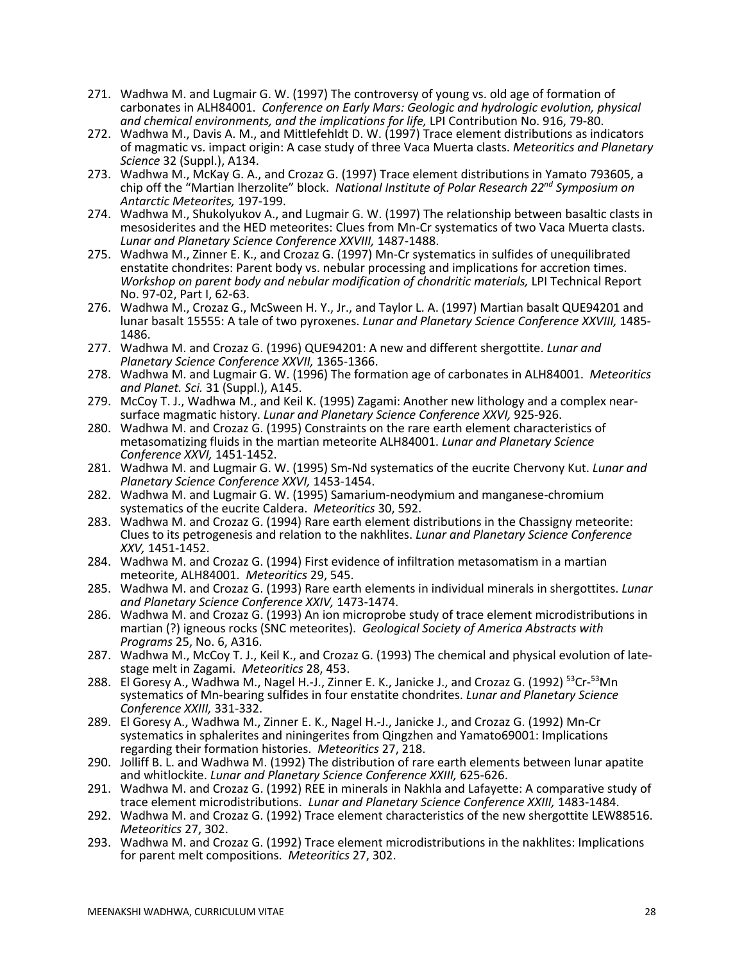- 271. Wadhwa M. and Lugmair G. W. (1997) The controversy of young vs. old age of formation of carbonates in ALH84001. *Conference on Early Mars: Geologic and hydrologic evolution, physical and chemical environments, and the implications for life,* LPI Contribution No. 916, 79-80.
- 272. Wadhwa M., Davis A. M., and Mittlefehldt D. W. (1997) Trace element distributions as indicators of magmatic vs. impact origin: A case study of three Vaca Muerta clasts. *Meteoritics and Planetary Science* 32 (Suppl.), A134.
- 273. Wadhwa M., McKay G. A., and Crozaz G. (1997) Trace element distributions in Yamato 793605, a chip off the "Martian lherzolite" block. *National Institute of Polar Research 22nd Symposium on Antarctic Meteorites,* 197-199.
- 274. Wadhwa M., Shukolyukov A., and Lugmair G. W. (1997) The relationship between basaltic clasts in mesosiderites and the HED meteorites: Clues from Mn-Cr systematics of two Vaca Muerta clasts. *Lunar and Planetary Science Conference XXVIII,* 1487-1488.
- 275. Wadhwa M., Zinner E. K., and Crozaz G. (1997) Mn-Cr systematics in sulfides of unequilibrated enstatite chondrites: Parent body vs. nebular processing and implications for accretion times. *Workshop on parent body and nebular modification of chondritic materials,* LPI Technical Report No. 97-02, Part I, 62-63.
- 276. Wadhwa M., Crozaz G., McSween H. Y., Jr., and Taylor L. A. (1997) Martian basalt QUE94201 and lunar basalt 15555: A tale of two pyroxenes. *Lunar and Planetary Science Conference XXVIII,* 1485- 1486.
- 277. Wadhwa M. and Crozaz G. (1996) QUE94201: A new and different shergottite. *Lunar and Planetary Science Conference XXVII,* 1365-1366.
- 278. Wadhwa M. and Lugmair G. W. (1996) The formation age of carbonates in ALH84001. *Meteoritics and Planet. Sci.* 31 (Suppl.), A145.<br>279. McCoy T. J., Wadhwa M., and Keil K. (1995) Zagami: Another new lithology and a complex near-
- surface magmatic history. *Lunar and Planetary Science Conference XXVI,* 925-926.
- 280. Wadhwa M. and Crozaz G. (1995) Constraints on the rare earth element characteristics of metasomatizing fluids in the martian meteorite ALH84001. *Lunar and Planetary Science Conference XXVI,* 1451-1452.
- 281. Wadhwa M. and Lugmair G. W. (1995) Sm-Nd systematics of the eucrite Chervony Kut. *Lunar and Planetary Science Conference XXVI,* 1453-1454.
- 282. Wadhwa M. and Lugmair G. W. (1995) Samarium-neodymium and manganese-chromium systematics of the eucrite Caldera. *Meteoritics* 30, 592.
- 283. Wadhwa M. and Crozaz G. (1994) Rare earth element distributions in the Chassigny meteorite: Clues to its petrogenesis and relation to the nakhlites. *Lunar and Planetary Science Conference XXV,* 1451-1452.
- 284. Wadhwa M. and Crozaz G. (1994) First evidence of infiltration metasomatism in a martian meteorite, ALH84001. *Meteoritics* 29, 545.
- 285. Wadhwa M. and Crozaz G. (1993) Rare earth elements in individual minerals in shergottites. *Lunar*
- 286. Wadhwa M. and Crozaz G. (1993) An ion microprobe study of trace element microdistributions in martian (?) igneous rocks (SNC meteorites). *Geological Society of America Abstracts with Programs* 25, No. 6, A316.
- 287. Wadhwa M., McCoy T. J., Keil K., and Crozaz G. (1993) The chemical and physical evolution of latestage melt in Zagami. *Meteoritics* 28, 453.
- 288. El Goresy A., Wadhwa M., Nagel H.-J., Zinner E. K., Janicke J., and Crozaz G. (1992) <sup>53</sup>Cr-<sup>53</sup>Mn systematics of Mn-bearing sulfides in four enstatite chondrites. *Lunar and Planetary Science Conference XXIII,* 331-332.
- 289. El Goresy A., Wadhwa M., Zinner E. K., Nagel H.-J., Janicke J., and Crozaz G. (1992) Mn-Cr systematics in sphalerites and niningerites from Qingzhen and Yamato69001: Implications regarding their formation histories. *Meteoritics* 27, 218.
- 290. Jolliff B. L. and Wadhwa M. (1992) The distribution of rare earth elements between lunar apatite and whitlockite. *Lunar and Planetary Science Conference XXIII,* 625-626.
- 291. Wadhwa M. and Crozaz G. (1992) REE in minerals in Nakhla and Lafayette: A comparative study of trace element microdistributions. *Lunar and Planetary Science Conference XXIII,* 1483-1484.
- 292. Wadhwa M. and Crozaz G. (1992) Trace element characteristics of the new shergottite LEW88516. *Meteoritics* 27, 302.
- 293. Wadhwa M. and Crozaz G. (1992) Trace element microdistributions in the nakhlites: Implications for parent melt compositions. *Meteoritics* 27, 302.